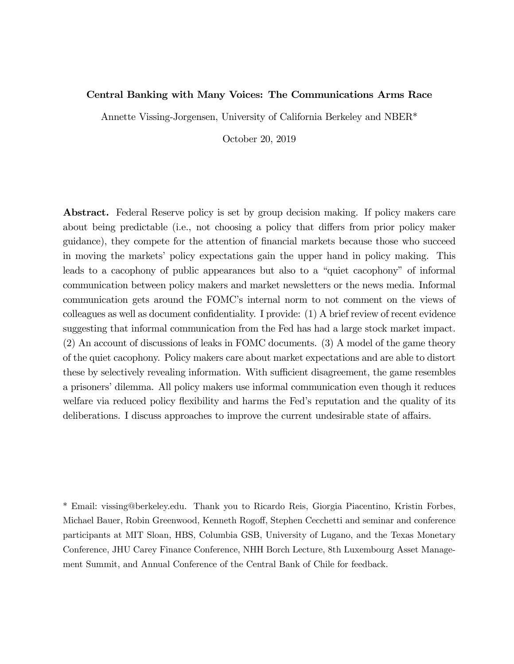#### Central Banking with Many Voices: The Communications Arms Race

Annette Vissing-Jorgensen, University of California Berkeley and NBER\*

October 20, 2019

Abstract. Federal Reserve policy is set by group decision making. If policy makers care about being predictable (i.e., not choosing a policy that differs from prior policy maker guidance), they compete for the attention of financial markets because those who succeed in moving the markets' policy expectations gain the upper hand in policy making. This leads to a cacophony of public appearances but also to a "quiet cacophony" of informal communication between policy makers and market newsletters or the news media. Informal communication gets around the FOMC's internal norm to not comment on the views of colleagues as well as document confidentiality. I provide: (1) A brief review of recent evidence suggesting that informal communication from the Fed has had a large stock market impact. (2) An account of discussions of leaks in FOMC documents. (3) A model of the game theory of the quiet cacophony. Policy makers care about market expectations and are able to distort these by selectively revealing information. With sufficient disagreement, the game resembles a prisoners' dilemma. All policy makers use informal communication even though it reduces welfare via reduced policy flexibility and harms the Fed's reputation and the quality of its deliberations. I discuss approaches to improve the current undesirable state of affairs.

\* Email: vissing@berkeley.edu. Thank you to Ricardo Reis, Giorgia Piacentino, Kristin Forbes, Michael Bauer, Robin Greenwood, Kenneth Rogoff, Stephen Cecchetti and seminar and conference participants at MIT Sloan, HBS, Columbia GSB, University of Lugano, and the Texas Monetary Conference, JHU Carey Finance Conference, NHH Borch Lecture, 8th Luxembourg Asset Management Summit, and Annual Conference of the Central Bank of Chile for feedback.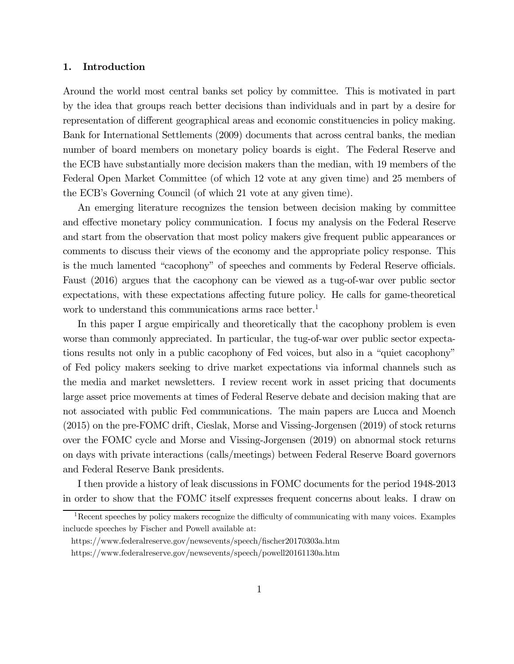#### 1. Introduction

Around the world most central banks set policy by committee. This is motivated in part by the idea that groups reach better decisions than individuals and in part by a desire for representation of different geographical areas and economic constituencies in policy making. Bank for International Settlements (2009) documents that across central banks, the median number of board members on monetary policy boards is eight. The Federal Reserve and the ECB have substantially more decision makers than the median, with 19 members of the Federal Open Market Committee (of which 12 vote at any given time) and 25 members of the ECB's Governing Council (of which 21 vote at any given time).

An emerging literature recognizes the tension between decision making by committee and effective monetary policy communication. I focus my analysis on the Federal Reserve and start from the observation that most policy makers give frequent public appearances or comments to discuss their views of the economy and the appropriate policy response. This is the much lamented "cacophony" of speeches and comments by Federal Reserve officials. Faust (2016) argues that the cacophony can be viewed as a tug-of-war over public sector expectations, with these expectations affecting future policy. He calls for game-theoretical work to understand this communications arms race better.<sup>1</sup>

In this paper I argue empirically and theoretically that the cacophony problem is even worse than commonly appreciated. In particular, the tug-of-war over public sector expectations results not only in a public cacophony of Fed voices, but also in a "quiet cacophony" of Fed policy makers seeking to drive market expectations via informal channels such as the media and market newsletters. I review recent work in asset pricing that documents large asset price movements at times of Federal Reserve debate and decision making that are not associated with public Fed communications. The main papers are Lucca and Moench (2015) on the pre-FOMC drift, Cieslak, Morse and Vissing-Jorgensen (2019) of stock returns over the FOMC cycle and Morse and Vissing-Jorgensen (2019) on abnormal stock returns on days with private interactions (calls/meetings) between Federal Reserve Board governors and Federal Reserve Bank presidents.

I then provide a history of leak discussions in FOMC documents for the period 1948-2013 in order to show that the FOMC itself expresses frequent concerns about leaks. I draw on

 $1$ Recent speeches by policy makers recognize the difficulty of communicating with many voices. Examples inclucde speeches by Fischer and Powell available at:

https://www.federalreserve.gov/newsevents/speech/fischer20170303a.htm

https://www.federalreserve.gov/newsevents/speech/powell20161130a.htm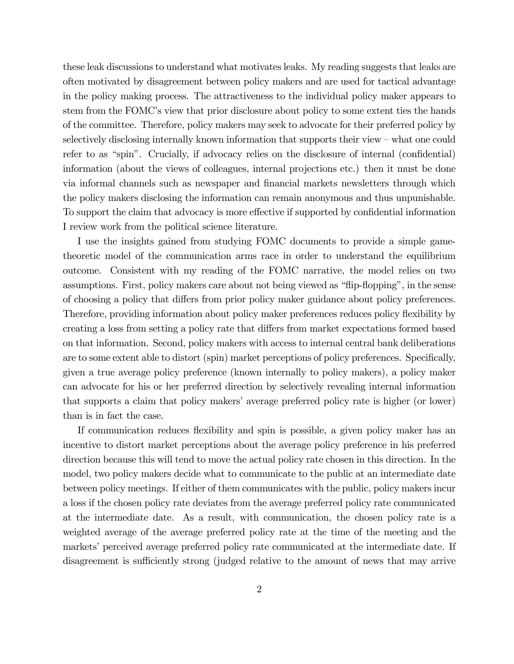these leak discussions to understand what motivates leaks. My reading suggests that leaks are often motivated by disagreement between policy makers and are used for tactical advantage in the policy making process. The attractiveness to the individual policy maker appears to stem from the FOMC's view that prior disclosure about policy to some extent ties the hands of the committee. Therefore, policy makers may seek to advocate for their preferred policy by selectively disclosing internally known information that supports their view — what one could refer to as "spin". Crucially, if advocacy relies on the disclosure of internal (confidential) information (about the views of colleagues, internal projections etc.) then it must be done via informal channels such as newspaper and financial markets newsletters through which the policy makers disclosing the information can remain anonymous and thus unpunishable. To support the claim that advocacy is more effective if supported by confidential information I review work from the political science literature.

I use the insights gained from studying FOMC documents to provide a simple gametheoretic model of the communication arms race in order to understand the equilibrium outcome. Consistent with my reading of the FOMC narrative, the model relies on two assumptions. First, policy makers care about not being viewed as "flip-flopping", in the sense of choosing a policy that differs from prior policy maker guidance about policy preferences. Therefore, providing information about policy maker preferences reduces policy flexibility by creating a loss from setting a policy rate that differs from market expectations formed based on that information. Second, policy makers with access to internal central bank deliberations are to some extent able to distort (spin) market perceptions of policy preferences. Specifically, given a true average policy preference (known internally to policy makers), a policy maker can advocate for his or her preferred direction by selectively revealing internal information that supports a claim that policy makers' average preferred policy rate is higher (or lower) than is in fact the case.

If communication reduces flexibility and spin is possible, a given policy maker has an incentive to distort market perceptions about the average policy preference in his preferred direction because this will tend to move the actual policy rate chosen in this direction. In the model, two policy makers decide what to communicate to the public at an intermediate date between policy meetings. If either of them communicates with the public, policy makers incur a loss if the chosen policy rate deviates from the average preferred policy rate communicated at the intermediate date. As a result, with communication, the chosen policy rate is a weighted average of the average preferred policy rate at the time of the meeting and the markets' perceived average preferred policy rate communicated at the intermediate date. If disagreement is sufficiently strong (judged relative to the amount of news that may arrive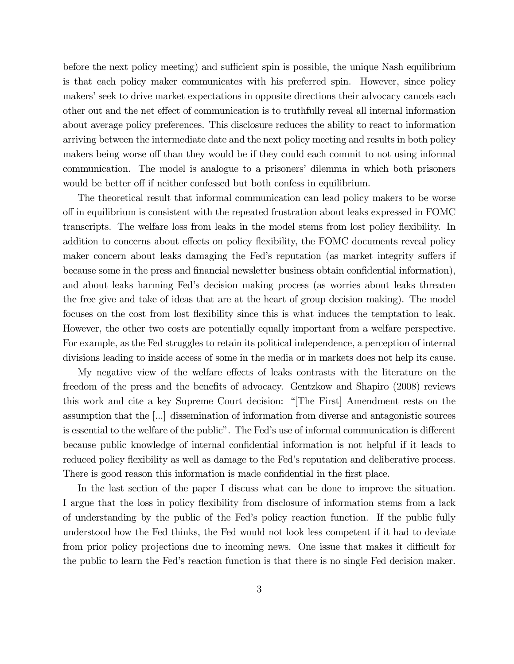before the next policy meeting) and sufficient spin is possible, the unique Nash equilibrium is that each policy maker communicates with his preferred spin. However, since policy makers' seek to drive market expectations in opposite directions their advocacy cancels each other out and the net effect of communication is to truthfully reveal all internal information about average policy preferences. This disclosure reduces the ability to react to information arriving between the intermediate date and the next policy meeting and results in both policy makers being worse off than they would be if they could each commit to not using informal communication. The model is analogue to a prisoners' dilemma in which both prisoners would be better off if neither confessed but both confess in equilibrium.

The theoretical result that informal communication can lead policy makers to be worse off in equilibrium is consistent with the repeated frustration about leaks expressed in FOMC transcripts. The welfare loss from leaks in the model stems from lost policy flexibility. In addition to concerns about effects on policy flexibility, the FOMC documents reveal policy maker concern about leaks damaging the Fed's reputation (as market integrity suffers if because some in the press and financial newsletter business obtain confidential information), and about leaks harming Fed's decision making process (as worries about leaks threaten the free give and take of ideas that are at the heart of group decision making). The model focuses on the cost from lost flexibility since this is what induces the temptation to leak. However, the other two costs are potentially equally important from a welfare perspective. For example, as the Fed struggles to retain its political independence, a perception of internal divisions leading to inside access of some in the media or in markets does not help its cause.

My negative view of the welfare effects of leaks contrasts with the literature on the freedom of the press and the benefits of advocacy. Gentzkow and Shapiro (2008) reviews this work and cite a key Supreme Court decision: "[The First] Amendment rests on the assumption that the [...] dissemination of information from diverse and antagonistic sources is essential to the welfare of the public". The Fed's use of informal communication is different because public knowledge of internal confidential information is not helpful if it leads to reduced policy flexibility as well as damage to the Fed's reputation and deliberative process. There is good reason this information is made confidential in the first place.

In the last section of the paper I discuss what can be done to improve the situation. I argue that the loss in policy flexibility from disclosure of information stems from a lack of understanding by the public of the Fed's policy reaction function. If the public fully understood how the Fed thinks, the Fed would not look less competent if it had to deviate from prior policy projections due to incoming news. One issue that makes it difficult for the public to learn the Fed's reaction function is that there is no single Fed decision maker.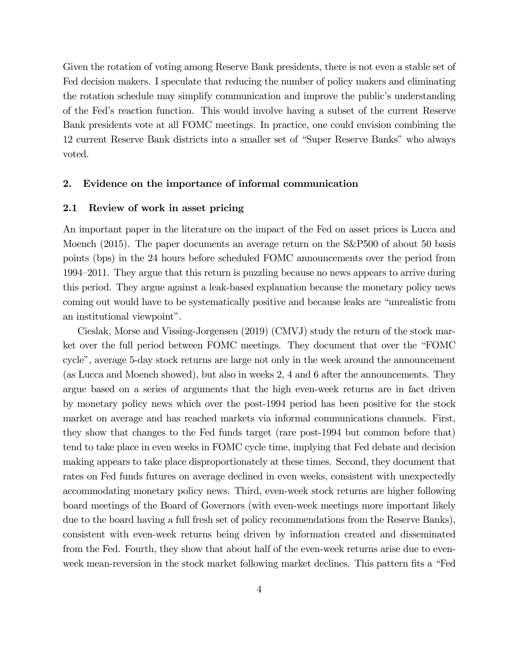Given the rotation of voting among Reserve Bank presidents, there is not even a stable set of Fed decision makers. I speculate that reducing the number of policy makers and eliminating the rotation schedule may simplify communication and improve the public's understanding of the Fed's reaction function. This would involve having a subset of the current Reserve Bank presidents vote at all FOMC meetings. In practice, one could envision combining the 12 current Reserve Bank districts into a smaller set of "Super Reserve Banks" who always voted.

#### 2. Evidence on the importance of informal communication

#### 2.1 Review of work in asset pricing

An important paper in the literature on the impact of the Fed on asset prices is Lucca and Moench (2015). The paper documents an average return on the S&P500 of about 50 basis points (bps) in the 24 hours before scheduled FOMC announcements over the period from 1994—2011. They argue that this return is puzzling because no news appears to arrive during this period. They argue against a leak-based explanation because the monetary policy news coming out would have to be systematically positive and because leaks are "unrealistic from an institutional viewpoint".

Cieslak, Morse and Vissing-Jorgensen (2019) (CMVJ) study the return of the stock market over the full period between FOMC meetings. They document that over the "FOMC cycle", average 5-day stock returns are large not only in the week around the announcement (as Lucca and Moench showed), but also in weeks 2, 4 and 6 after the announcements. They argue based on a series of arguments that the high even-week returns are in fact driven by monetary policy news which over the post-1994 period has been positive for the stock market on average and has reached markets via informal communications channels. First, they show that changes to the Fed funds target (rare post-1994 but common before that) tend to take place in even weeks in FOMC cycle time, implying that Fed debate and decision making appears to take place disproportionately at these times. Second, they document that rates on Fed funds futures on average declined in even weeks, consistent with unexpectedly accommodating monetary policy news. Third, even-week stock returns are higher following board meetings of the Board of Governors (with even-week meetings more important likely due to the board having a full fresh set of policy recommendations from the Reserve Banks), consistent with even-week returns being driven by information created and disseminated from the Fed. Fourth, they show that about half of the even-week returns arise due to evenweek mean-reversion in the stock market following market declines. This pattern fits a "Fed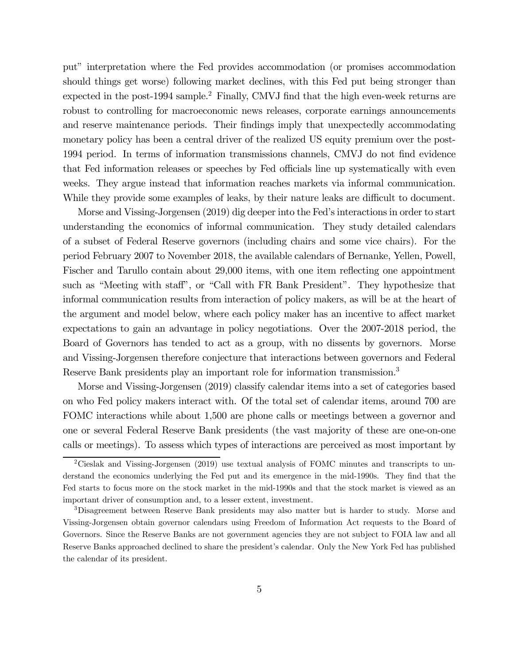put" interpretation where the Fed provides accommodation (or promises accommodation should things get worse) following market declines, with this Fed put being stronger than expected in the post-1994 sample.<sup>2</sup> Finally, CMVJ find that the high even-week returns are robust to controlling for macroeconomic news releases, corporate earnings announcements and reserve maintenance periods. Their findings imply that unexpectedly accommodating monetary policy has been a central driver of the realized US equity premium over the post-1994 period. In terms of information transmissions channels, CMVJ do not find evidence that Fed information releases or speeches by Fed officials line up systematically with even weeks. They argue instead that information reaches markets via informal communication. While they provide some examples of leaks, by their nature leaks are difficult to document.

Morse and Vissing-Jorgensen (2019) dig deeper into the Fed's interactions in order to start understanding the economics of informal communication. They study detailed calendars of a subset of Federal Reserve governors (including chairs and some vice chairs). For the period February 2007 to November 2018, the available calendars of Bernanke, Yellen, Powell, Fischer and Tarullo contain about 29,000 items, with one item reflecting one appointment such as "Meeting with staff", or "Call with FR Bank President". They hypothesize that informal communication results from interaction of policy makers, as will be at the heart of the argument and model below, where each policy maker has an incentive to affect market expectations to gain an advantage in policy negotiations. Over the 2007-2018 period, the Board of Governors has tended to act as a group, with no dissents by governors. Morse and Vissing-Jorgensen therefore conjecture that interactions between governors and Federal Reserve Bank presidents play an important role for information transmission.3

Morse and Vissing-Jorgensen (2019) classify calendar items into a set of categories based on who Fed policy makers interact with. Of the total set of calendar items, around 700 are FOMC interactions while about 1,500 are phone calls or meetings between a governor and one or several Federal Reserve Bank presidents (the vast majority of these are one-on-one calls or meetings). To assess which types of interactions are perceived as most important by

<sup>&</sup>lt;sup>2</sup>Cieslak and Vissing-Jorgensen (2019) use textual analysis of FOMC minutes and transcripts to understand the economics underlying the Fed put and its emergence in the mid-1990s. They find that the Fed starts to focus more on the stock market in the mid-1990s and that the stock market is viewed as an important driver of consumption and, to a lesser extent, investment.

<sup>3</sup>Disagreement between Reserve Bank presidents may also matter but is harder to study. Morse and Vissing-Jorgensen obtain governor calendars using Freedom of Information Act requests to the Board of Governors. Since the Reserve Banks are not government agencies they are not subject to FOIA law and all Reserve Banks approached declined to share the president's calendar. Only the New York Fed has published the calendar of its president.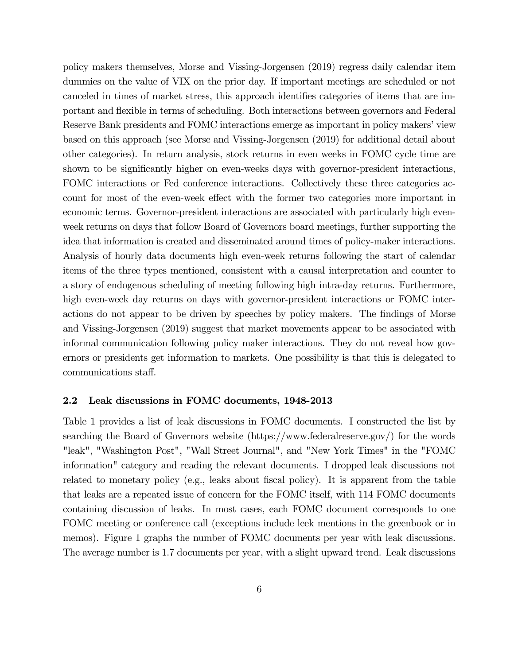policy makers themselves, Morse and Vissing-Jorgensen (2019) regress daily calendar item dummies on the value of VIX on the prior day. If important meetings are scheduled or not canceled in times of market stress, this approach identifies categories of items that are important and flexible in terms of scheduling. Both interactions between governors and Federal Reserve Bank presidents and FOMC interactions emerge as important in policy makers' view based on this approach (see Morse and Vissing-Jorgensen (2019) for additional detail about other categories). In return analysis, stock returns in even weeks in FOMC cycle time are shown to be significantly higher on even-weeks days with governor-president interactions, FOMC interactions or Fed conference interactions. Collectively these three categories account for most of the even-week effect with the former two categories more important in economic terms. Governor-president interactions are associated with particularly high evenweek returns on days that follow Board of Governors board meetings, further supporting the idea that information is created and disseminated around times of policy-maker interactions. Analysis of hourly data documents high even-week returns following the start of calendar items of the three types mentioned, consistent with a causal interpretation and counter to a story of endogenous scheduling of meeting following high intra-day returns. Furthermore, high even-week day returns on days with governor-president interactions or FOMC interactions do not appear to be driven by speeches by policy makers. The findings of Morse and Vissing-Jorgensen (2019) suggest that market movements appear to be associated with informal communication following policy maker interactions. They do not reveal how governors or presidents get information to markets. One possibility is that this is delegated to communications staff.

## 2.2 Leak discussions in FOMC documents, 1948-2013

Table 1 provides a list of leak discussions in FOMC documents. I constructed the list by searching the Board of Governors website (https://www.federalreserve.gov/) for the words "leak", "Washington Post", "Wall Street Journal", and "New York Times" in the "FOMC information" category and reading the relevant documents. I dropped leak discussions not related to monetary policy (e.g., leaks about fiscal policy). It is apparent from the table that leaks are a repeated issue of concern for the FOMC itself, with 114 FOMC documents containing discussion of leaks. In most cases, each FOMC document corresponds to one FOMC meeting or conference call (exceptions include leek mentions in the greenbook or in memos). Figure 1 graphs the number of FOMC documents per year with leak discussions. The average number is 1.7 documents per year, with a slight upward trend. Leak discussions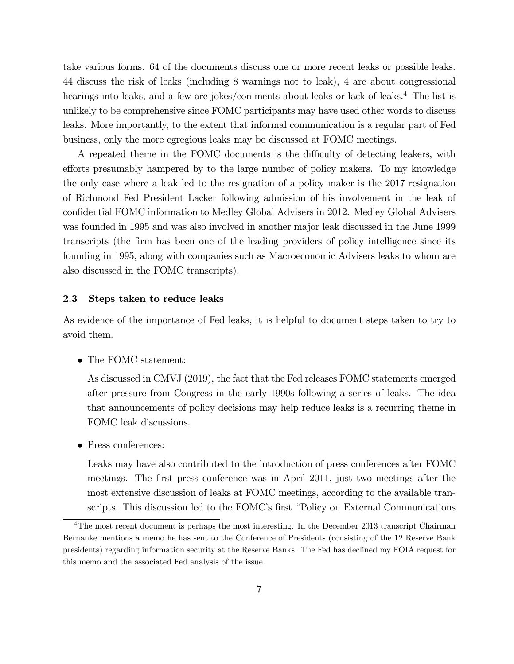take various forms. 64 of the documents discuss one or more recent leaks or possible leaks. 44 discuss the risk of leaks (including 8 warnings not to leak), 4 are about congressional hearings into leaks, and a few are jokes/comments about leaks or lack of leaks.<sup>4</sup> The list is unlikely to be comprehensive since FOMC participants may have used other words to discuss leaks. More importantly, to the extent that informal communication is a regular part of Fed business, only the more egregious leaks may be discussed at FOMC meetings.

A repeated theme in the FOMC documents is the difficulty of detecting leakers, with efforts presumably hampered by to the large number of policy makers. To my knowledge the only case where a leak led to the resignation of a policy maker is the 2017 resignation of Richmond Fed President Lacker following admission of his involvement in the leak of confidential FOMC information to Medley Global Advisers in 2012. Medley Global Advisers was founded in 1995 and was also involved in another major leak discussed in the June 1999 transcripts (the firm has been one of the leading providers of policy intelligence since its founding in 1995, along with companies such as Macroeconomic Advisers leaks to whom are also discussed in the FOMC transcripts).

# 2.3 Steps taken to reduce leaks

As evidence of the importance of Fed leaks, it is helpful to document steps taken to try to avoid them.

• The FOMC statement:

As discussed in CMVJ (2019), the fact that the Fed releases FOMC statements emerged after pressure from Congress in the early 1990s following a series of leaks. The idea that announcements of policy decisions may help reduce leaks is a recurring theme in FOMC leak discussions.

• Press conferences:

Leaks may have also contributed to the introduction of press conferences after FOMC meetings. The first press conference was in April 2011, just two meetings after the most extensive discussion of leaks at FOMC meetings, according to the available transcripts. This discussion led to the FOMC's first "Policy on External Communications

<sup>&</sup>lt;sup>4</sup>The most recent document is perhaps the most interesting. In the December 2013 transcript Chairman Bernanke mentions a memo he has sent to the Conference of Presidents (consisting of the 12 Reserve Bank presidents) regarding information security at the Reserve Banks. The Fed has declined my FOIA request for this memo and the associated Fed analysis of the issue.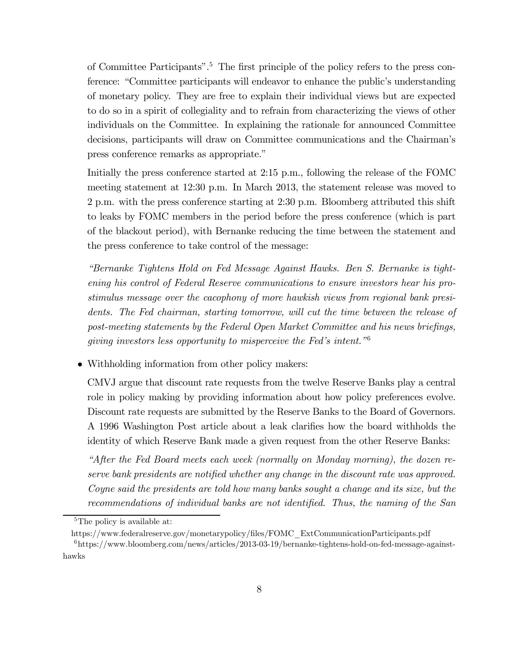of Committee Participants".5 The first principle of the policy refers to the press conference: "Committee participants will endeavor to enhance the public's understanding of monetary policy. They are free to explain their individual views but are expected to do so in a spirit of collegiality and to refrain from characterizing the views of other individuals on the Committee. In explaining the rationale for announced Committee decisions, participants will draw on Committee communications and the Chairman's press conference remarks as appropriate."

Initially the press conference started at 2:15 p.m., following the release of the FOMC meeting statement at 12:30 p.m. In March 2013, the statement release was moved to 2 p.m. with the press conference starting at 2:30 p.m. Bloomberg attributed this shift to leaks by FOMC members in the period before the press conference (which is part of the blackout period), with Bernanke reducing the time between the statement and the press conference to take control of the message:

"Bernanke Tightens Hold on Fed Message Against Hawks. Ben S. Bernanke is tightening his control of Federal Reserve communications to ensure investors hear his prostimulus message over the cacophony of more hawkish views from regional bank presidents. The Fed chairman, starting tomorrow, will cut the time between the release of post-meeting statements by the Federal Open Market Committee and his news briefings, giving investors less opportunity to misperceive the Fed's intent."<sup>6</sup>

• Withholding information from other policy makers:

CMVJ argue that discount rate requests from the twelve Reserve Banks play a central role in policy making by providing information about how policy preferences evolve. Discount rate requests are submitted by the Reserve Banks to the Board of Governors. A 1996 Washington Post article about a leak clarifies how the board withholds the identity of which Reserve Bank made a given request from the other Reserve Banks:

"After the Fed Board meets each week (normally on Monday morning), the dozen reserve bank presidents are notified whether any change in the discount rate was approved. Coyne said the presidents are told how many banks sought a change and its size, but the recommendations of individual banks are not identified. Thus, the naming of the San

<sup>&</sup>lt;sup>5</sup>The policy is available at:

https://www.federalreserve.gov/monetarypolicy/files/FOMC\_ExtCommunicationParticipants.pdf

 $6$ https://www.bloomberg.com/news/articles/2013-03-19/bernanke-tightens-hold-on-fed-message-againsthawks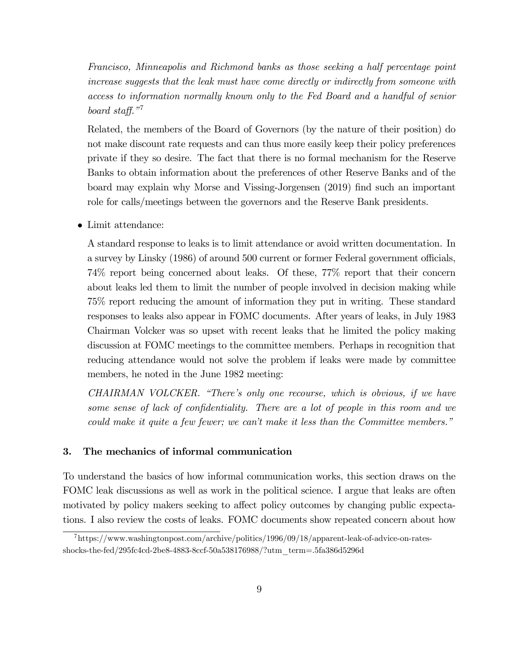Francisco, Minneapolis and Richmond banks as those seeking a half percentage point increase suggests that the leak must have come directly or indirectly from someone with access to information normally known only to the Fed Board and a handful of senior board staff."<sup>7</sup>

Related, the members of the Board of Governors (by the nature of their position) do not make discount rate requests and can thus more easily keep their policy preferences private if they so desire. The fact that there is no formal mechanism for the Reserve Banks to obtain information about the preferences of other Reserve Banks and of the board may explain why Morse and Vissing-Jorgensen (2019) find such an important role for calls/meetings between the governors and the Reserve Bank presidents.

• Limit attendance:

A standard response to leaks is to limit attendance or avoid written documentation. In a survey by Linsky (1986) of around 500 current or former Federal government officials, 74% report being concerned about leaks. Of these, 77% report that their concern about leaks led them to limit the number of people involved in decision making while 75% report reducing the amount of information they put in writing. These standard responses to leaks also appear in FOMC documents. After years of leaks, in July 1983 Chairman Volcker was so upset with recent leaks that he limited the policy making discussion at FOMC meetings to the committee members. Perhaps in recognition that reducing attendance would not solve the problem if leaks were made by committee members, he noted in the June 1982 meeting:

CHAIRMAN VOLCKER. "There's only one recourse, which is obvious, if we have some sense of lack of confidentiality. There are a lot of people in this room and we could make it quite a few fewer; we can't make it less than the Committee members."

# 3. The mechanics of informal communication

To understand the basics of how informal communication works, this section draws on the FOMC leak discussions as well as work in the political science. I argue that leaks are often motivated by policy makers seeking to affect policy outcomes by changing public expectations. I also review the costs of leaks. FOMC documents show repeated concern about how

<sup>7</sup>https://www.washingtonpost.com/archive/politics/1996/09/18/apparent-leak-of-advice-on-ratesshocks-the-fed/295fc4cd-2be8-4883-8ccf-50a538176988/?utm\_term=.5fa386d5296d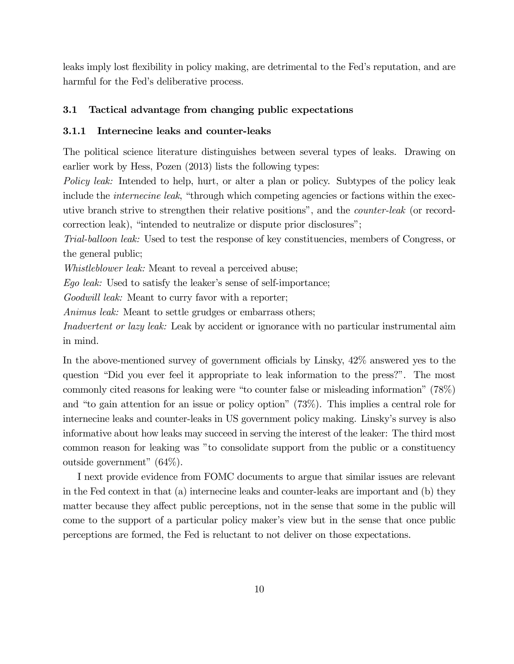leaks imply lost flexibility in policy making, are detrimental to the Fed's reputation, and are harmful for the Fed's deliberative process.

# 3.1 Tactical advantage from changing public expectations

#### 3.1.1 Internecine leaks and counter-leaks

The political science literature distinguishes between several types of leaks. Drawing on earlier work by Hess, Pozen (2013) lists the following types:

Policy leak: Intended to help, hurt, or alter a plan or policy. Subtypes of the policy leak include the *internecine leak*, "through which competing agencies or factions within the executive branch strive to strengthen their relative positions", and the counter-leak (or recordcorrection leak), "intended to neutralize or dispute prior disclosures";

Trial-balloon leak: Used to test the response of key constituencies, members of Congress, or the general public;

Whistleblower leak: Meant to reveal a perceived abuse;

Ego leak: Used to satisfy the leaker's sense of self-importance;

Goodwill leak: Meant to curry favor with a reporter;

Animus *leak*: Meant to settle grudges or embarrass others;

Inadvertent or lazy leak: Leak by accident or ignorance with no particular instrumental aim in mind.

In the above-mentioned survey of government officials by Linsky, 42% answered yes to the question "Did you ever feel it appropriate to leak information to the press?". The most commonly cited reasons for leaking were "to counter false or misleading information" (78%) and "to gain attention for an issue or policy option" (73%). This implies a central role for internecine leaks and counter-leaks in US government policy making. Linsky's survey is also informative about how leaks may succeed in serving the interest of the leaker: The third most common reason for leaking was "to consolidate support from the public or a constituency outside government" (64%).

I next provide evidence from FOMC documents to argue that similar issues are relevant in the Fed context in that (a) internecine leaks and counter-leaks are important and (b) they matter because they affect public perceptions, not in the sense that some in the public will come to the support of a particular policy maker's view but in the sense that once public perceptions are formed, the Fed is reluctant to not deliver on those expectations.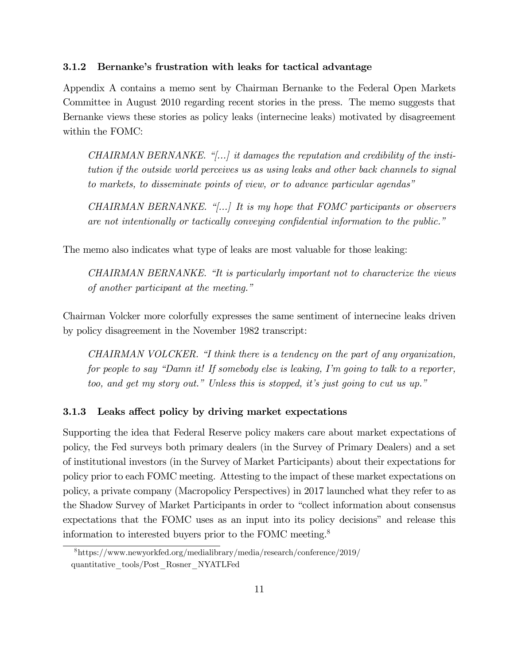#### 3.1.2 Bernanke's frustration with leaks for tactical advantage

Appendix A contains a memo sent by Chairman Bernanke to the Federal Open Markets Committee in August 2010 regarding recent stories in the press. The memo suggests that Bernanke views these stories as policy leaks (internecine leaks) motivated by disagreement within the FOMC:

CHAIRMAN BERNANKE. " $\left[\ldots\right]$  it damages the reputation and credibility of the institution if the outside world perceives us as using leaks and other back channels to signal to markets, to disseminate points of view, or to advance particular agendas"

CHAIRMAN BERNANKE. "[...] It is my hope that FOMC participants or observers are not intentionally or tactically conveying confidential information to the public."

The memo also indicates what type of leaks are most valuable for those leaking:

CHAIRMAN BERNANKE. "It is particularly important not to characterize the views of another participant at the meeting."

Chairman Volcker more colorfully expresses the same sentiment of internecine leaks driven by policy disagreement in the November 1982 transcript:

CHAIRMAN VOLCKER. "I think there is a tendency on the part of any organization, for people to say "Damn it! If somebody else is leaking, I'm going to talk to a reporter, too, and get my story out." Unless this is stopped, it's just going to cut us up."

#### 3.1.3 Leaks affect policy by driving market expectations

Supporting the idea that Federal Reserve policy makers care about market expectations of policy, the Fed surveys both primary dealers (in the Survey of Primary Dealers) and a set of institutional investors (in the Survey of Market Participants) about their expectations for policy prior to each FOMC meeting. Attesting to the impact of these market expectations on policy, a private company (Macropolicy Perspectives) in 2017 launched what they refer to as the Shadow Survey of Market Participants in order to "collect information about consensus expectations that the FOMC uses as an input into its policy decisions" and release this information to interested buyers prior to the FOMC meeting.8

<sup>8</sup>https://www.newyorkfed.org/medialibrary/media/research/conference/2019/ quantitative\_tools/Post\_Rosner\_NYATLFed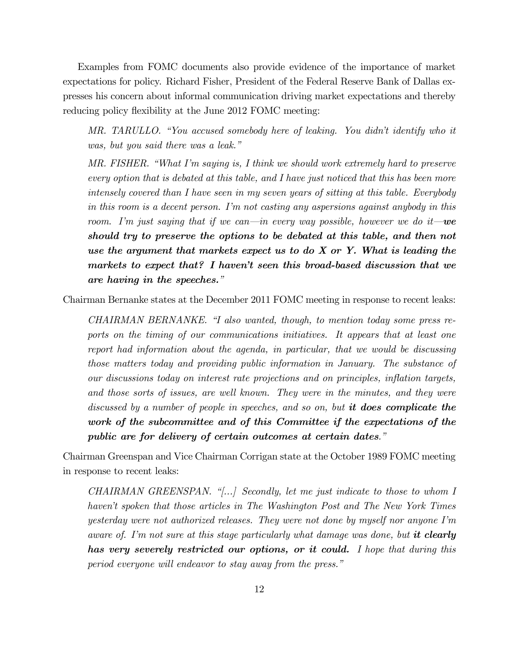Examples from FOMC documents also provide evidence of the importance of market expectations for policy. Richard Fisher, President of the Federal Reserve Bank of Dallas expresses his concern about informal communication driving market expectations and thereby reducing policy flexibility at the June 2012 FOMC meeting:

MR. TARULLO. "You accused somebody here of leaking. You didn't identify who it was, but you said there was a leak."

MR. FISHER. "What I'm saying is, I think we should work extremely hard to preserve every option that is debated at this table, and I have just noticed that this has been more intensely covered than I have seen in my seven years of sitting at this table. Everybody in this room is a decent person. I'm not casting any aspersions against anybody in this room. I'm just saying that if we can—in every way possible, however we do it—we should try to preserve the options to be debated at this table, and then not use the argument that markets expect us to do  $X$  or  $Y$ . What is leading the markets to expect that? I haven't seen this broad-based discussion that we are having in the speeches."

Chairman Bernanke states at the December 2011 FOMC meeting in response to recent leaks:

CHAIRMAN BERNANKE. "I also wanted, though, to mention today some press reports on the timing of our communications initiatives. It appears that at least one report had information about the agenda, in particular, that we would be discussing those matters today and providing public information in January. The substance of our discussions today on interest rate projections and on principles, inflation targets, and those sorts of issues, are well known. They were in the minutes, and they were discussed by a number of people in speeches, and so on, but it does complicate the work of the subcommittee and of this Committee if the expectations of the public are for delivery of certain outcomes at certain dates."

Chairman Greenspan and Vice Chairman Corrigan state at the October 1989 FOMC meeting in response to recent leaks:

CHAIRMAN GREENSPAN. "[...] Secondly, let me just indicate to those to whom I haven't spoken that those articles in The Washington Post and The New York Times yesterday were not authorized releases. They were not done by myself nor anyone I'm aware of. I'm not sure at this stage particularly what damage was done, but it clearly has very severely restricted our options, or it could. I hope that during this period everyone will endeavor to stay away from the press."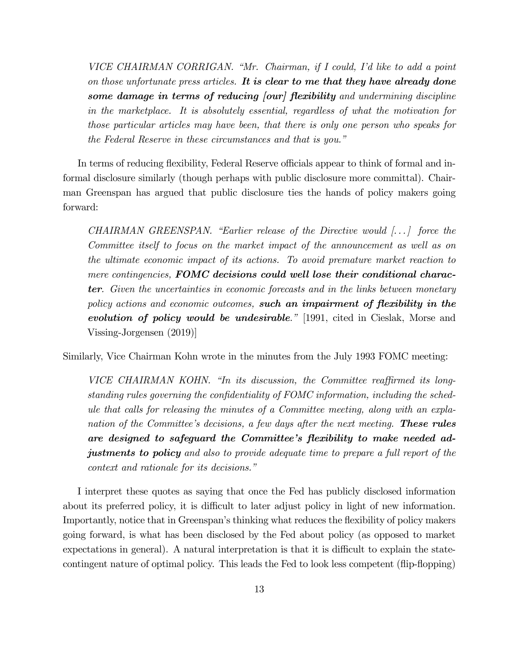VICE CHAIRMAN CORRIGAN. "Mr. Chairman, if I could, I'd like to add a point on those unfortunate press articles. It is clear to me that they have already done some damage in terms of reducing [our] flexibility and undermining discipline in the marketplace. It is absolutely essential, regardless of what the motivation for those particular articles may have been, that there is only one person who speaks for the Federal Reserve in these circumstances and that is you."

In terms of reducing flexibility, Federal Reserve officials appear to think of formal and informal disclosure similarly (though perhaps with public disclosure more committal). Chairman Greenspan has argued that public disclosure ties the hands of policy makers going forward:

CHAIRMAN GREENSPAN. "Earlier release of the Directive would  $\lceil \ldots \rceil$  force the Committee itself to focus on the market impact of the announcement as well as on the ultimate economic impact of its actions. To avoid premature market reaction to mere contingencies, **FOMC** decisions could well lose their conditional character. Given the uncertainties in economic forecasts and in the links between monetary policy actions and economic outcomes, such an impairment of flexibility in the evolution of policy would be undesirable." [1991, cited in Cieslak, Morse and Vissing-Jorgensen (2019)]

Similarly, Vice Chairman Kohn wrote in the minutes from the July 1993 FOMC meeting:

VICE CHAIRMAN KOHN. "In its discussion, the Committee reaffirmed its longstanding rules governing the confidentiality of FOMC information, including the schedule that calls for releasing the minutes of a Committee meeting, along with an explanation of the Committee's decisions, a few days after the next meeting. **These rules** are designed to safeguard the Committee's flexibility to make needed adjustments to policy and also to provide adequate time to prepare a full report of the context and rationale for its decisions."

I interpret these quotes as saying that once the Fed has publicly disclosed information about its preferred policy, it is difficult to later adjust policy in light of new information. Importantly, notice that in Greenspan's thinking what reduces the flexibility of policy makers going forward, is what has been disclosed by the Fed about policy (as opposed to market expectations in general). A natural interpretation is that it is difficult to explain the statecontingent nature of optimal policy. This leads the Fed to look less competent (flip-flopping)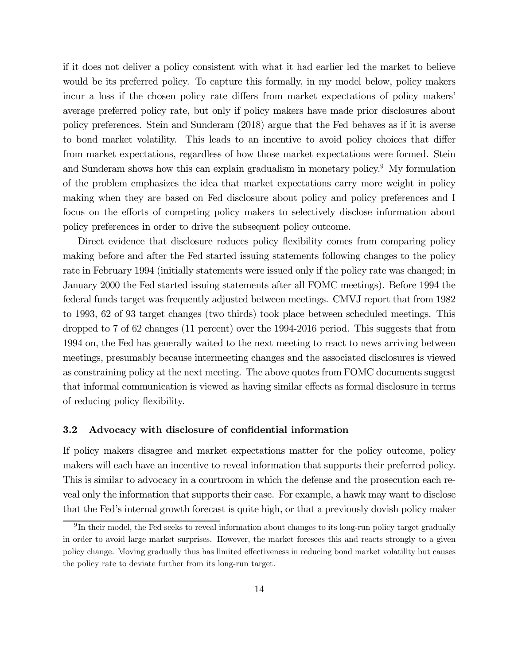if it does not deliver a policy consistent with what it had earlier led the market to believe would be its preferred policy. To capture this formally, in my model below, policy makers incur a loss if the chosen policy rate differs from market expectations of policy makers' average preferred policy rate, but only if policy makers have made prior disclosures about policy preferences. Stein and Sunderam (2018) argue that the Fed behaves as if it is averse to bond market volatility. This leads to an incentive to avoid policy choices that differ from market expectations, regardless of how those market expectations were formed. Stein and Sunderam shows how this can explain gradualism in monetary policy.<sup>9</sup> My formulation of the problem emphasizes the idea that market expectations carry more weight in policy making when they are based on Fed disclosure about policy and policy preferences and I focus on the efforts of competing policy makers to selectively disclose information about policy preferences in order to drive the subsequent policy outcome.

Direct evidence that disclosure reduces policy flexibility comes from comparing policy making before and after the Fed started issuing statements following changes to the policy rate in February 1994 (initially statements were issued only if the policy rate was changed; in January 2000 the Fed started issuing statements after all FOMC meetings). Before 1994 the federal funds target was frequently adjusted between meetings. CMVJ report that from 1982 to 1993, 62 of 93 target changes (two thirds) took place between scheduled meetings. This dropped to 7 of 62 changes (11 percent) over the 1994-2016 period. This suggests that from 1994 on, the Fed has generally waited to the next meeting to react to news arriving between meetings, presumably because intermeeting changes and the associated disclosures is viewed as constraining policy at the next meeting. The above quotes from FOMC documents suggest that informal communication is viewed as having similar effects as formal disclosure in terms of reducing policy flexibility.

#### 3.2 Advocacy with disclosure of confidential information

If policy makers disagree and market expectations matter for the policy outcome, policy makers will each have an incentive to reveal information that supports their preferred policy. This is similar to advocacy in a courtroom in which the defense and the prosecution each reveal only the information that supports their case. For example, a hawk may want to disclose that the Fed's internal growth forecast is quite high, or that a previously dovish policy maker

<sup>9</sup> In their model, the Fed seeks to reveal information about changes to its long-run policy target gradually in order to avoid large market surprises. However, the market foresees this and reacts strongly to a given policy change. Moving gradually thus has limited effectiveness in reducing bond market volatility but causes the policy rate to deviate further from its long-run target.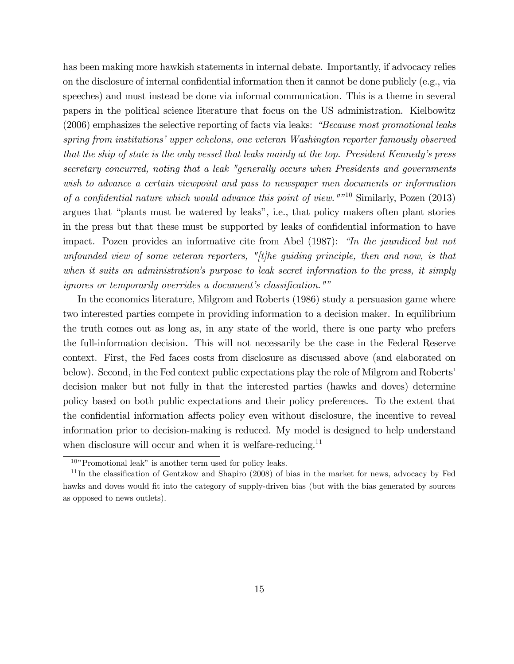has been making more hawkish statements in internal debate. Importantly, if advocacy relies on the disclosure of internal confidential information then it cannot be done publicly (e.g., via speeches) and must instead be done via informal communication. This is a theme in several papers in the political science literature that focus on the US administration. Kielbowitz (2006) emphasizes the selective reporting of facts via leaks: "Because most promotional leaks spring from institutions' upper echelons, one veteran Washington reporter famously observed that the ship of state is the only vessel that leaks mainly at the top. President Kennedy's press secretary concurred, noting that a leak "generally occurs when Presidents and governments wish to advance a certain viewpoint and pass to newspaper men documents or information of a confidential nature which would advance this point of view.""<sup>10</sup> Similarly, Pozen (2013) argues that "plants must be watered by leaks", i.e., that policy makers often plant stories in the press but that these must be supported by leaks of confidential information to have impact. Pozen provides an informative cite from Abel (1987): "In the jaundiced but not unfounded view of some veteran reporters,  $''/t$  he guiding principle, then and now, is that when it suits an administration's purpose to leak secret information to the press, it simply ignores or temporarily overrides a document's classification.""

In the economics literature, Milgrom and Roberts (1986) study a persuasion game where two interested parties compete in providing information to a decision maker. In equilibrium the truth comes out as long as, in any state of the world, there is one party who prefers the full-information decision. This will not necessarily be the case in the Federal Reserve context. First, the Fed faces costs from disclosure as discussed above (and elaborated on below). Second, in the Fed context public expectations play the role of Milgrom and Roberts' decision maker but not fully in that the interested parties (hawks and doves) determine policy based on both public expectations and their policy preferences. To the extent that the confidential information affects policy even without disclosure, the incentive to reveal information prior to decision-making is reduced. My model is designed to help understand when disclosure will occur and when it is welfare-reducing.<sup>11</sup>

 $10"$  Promotional leak" is another term used for policy leaks.

<sup>11</sup> In the classification of Gentzkow and Shapiro (2008) of bias in the market for news, advocacy by Fed hawks and doves would fit into the category of supply-driven bias (but with the bias generated by sources as opposed to news outlets).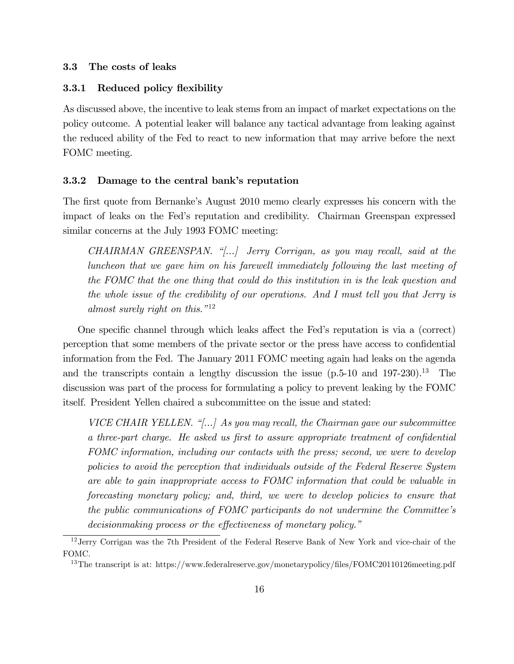#### 3.3 The costs of leaks

#### 3.3.1 Reduced policy flexibility

As discussed above, the incentive to leak stems from an impact of market expectations on the policy outcome. A potential leaker will balance any tactical advantage from leaking against the reduced ability of the Fed to react to new information that may arrive before the next FOMC meeting.

#### 3.3.2 Damage to the central bank's reputation

The first quote from Bernanke's August 2010 memo clearly expresses his concern with the impact of leaks on the Fed's reputation and credibility. Chairman Greenspan expressed similar concerns at the July 1993 FOMC meeting:

CHAIRMAN GREENSPAN. "[...] Jerry Corrigan, as you may recall, said at the luncheon that we gave him on his farewell immediately following the last meeting of the FOMC that the one thing that could do this institution in is the leak question and the whole issue of the credibility of our operations. And I must tell you that Jerry is almost surely right on this."<sup>12</sup>

One specific channel through which leaks affect the Fed's reputation is via a (correct) perception that some members of the private sector or the press have access to confidential information from the Fed. The January 2011 FOMC meeting again had leaks on the agenda and the transcripts contain a lengthy discussion the issue  $(p.5-10$  and  $197-230)$ .<sup>13</sup> The discussion was part of the process for formulating a policy to prevent leaking by the FOMC itself. President Yellen chaired a subcommittee on the issue and stated:

VICE CHAIR YELLEN. "[...] As you may recall, the Chairman gave our subcommittee a three-part charge. He asked us first to assure appropriate treatment of confidential FOMC information, including our contacts with the press; second, we were to develop policies to avoid the perception that individuals outside of the Federal Reserve System are able to gain inappropriate access to FOMC information that could be valuable in forecasting monetary policy; and, third, we were to develop policies to ensure that the public communications of FOMC participants do not undermine the Committee's decisionmaking process or the effectiveness of monetary policy."

<sup>12</sup>Jerry Corrigan was the 7th President of the Federal Reserve Bank of New York and vice-chair of the FOMC.

<sup>&</sup>lt;sup>13</sup>The transcript is at: https://www.federalreserve.gov/monetarypolicy/files/FOMC20110126meeting.pdf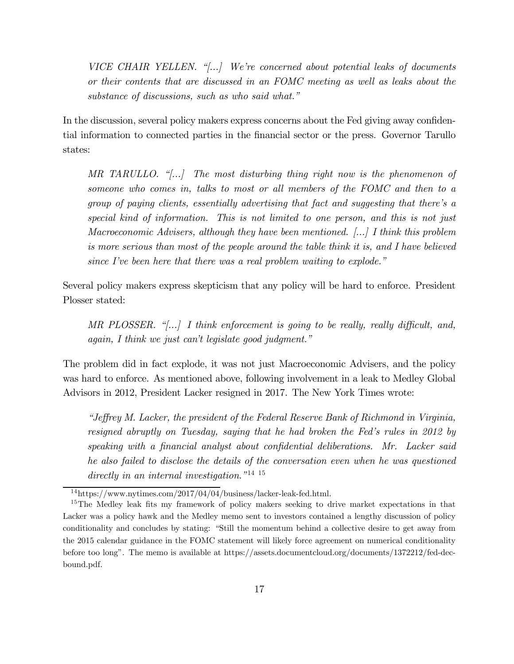VICE CHAIR YELLEN. "[...] We're concerned about potential leaks of documents or their contents that are discussed in an FOMC meeting as well as leaks about the substance of discussions, such as who said what."

In the discussion, several policy makers express concerns about the Fed giving away confidential information to connected parties in the financial sector or the press. Governor Tarullo states:

MR TARULLO. "[...] The most disturbing thing right now is the phenomenon of someone who comes in, talks to most or all members of the FOMC and then to a group of paying clients, essentially advertising that fact and suggesting that there's a special kind of information. This is not limited to one person, and this is not just Macroeconomic Advisers, although they have been mentioned. [...] I think this problem is more serious than most of the people around the table think it is, and I have believed since I've been here that there was a real problem waiting to explode."

Several policy makers express skepticism that any policy will be hard to enforce. President Plosser stated:

MR PLOSSER. "[...] I think enforcement is going to be really, really difficult, and, again, I think we just can't legislate good judgment."

The problem did in fact explode, it was not just Macroeconomic Advisers, and the policy was hard to enforce. As mentioned above, following involvement in a leak to Medley Global Advisors in 2012, President Lacker resigned in 2017. The New York Times wrote:

"Jeffrey M. Lacker, the president of the Federal Reserve Bank of Richmond in Virginia, resigned abruptly on Tuesday, saying that he had broken the Fed's rules in 2012 by speaking with a financial analyst about confidential deliberations. Mr. Lacker said he also failed to disclose the details of the conversation even when he was questioned directly in an internal investigation.<sup>"14 15</sup>

<sup>14</sup>https://www.nytimes.com/2017/04/04/business/lacker-leak-fed.html.

<sup>&</sup>lt;sup>15</sup>The Medley leak fits my framework of policy makers seeking to drive market expectations in that Lacker was a policy hawk and the Medley memo sent to investors contained a lengthy discussion of policy conditionality and concludes by stating: "Still the momentum behind a collective desire to get away from the 2015 calendar guidance in the FOMC statement will likely force agreement on numerical conditionality before too long". The memo is available at https://assets.documentcloud.org/documents/1372212/fed-decbound.pdf.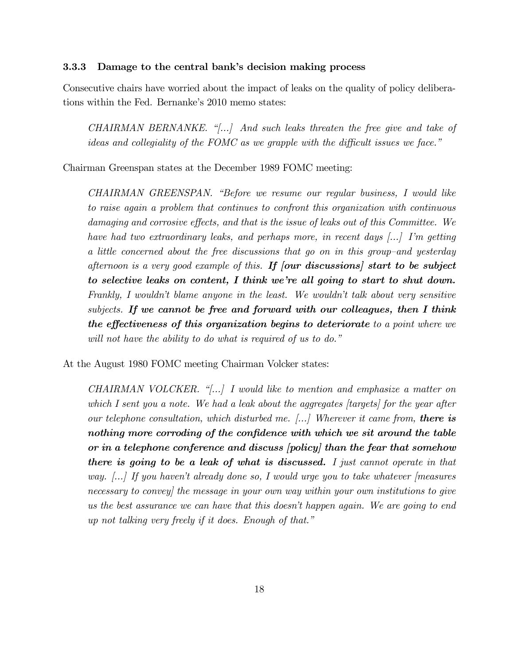#### 3.3.3 Damage to the central bank's decision making process

Consecutive chairs have worried about the impact of leaks on the quality of policy deliberations within the Fed. Bernanke's 2010 memo states:

CHAIRMAN BERNANKE. "[...] And such leaks threaten the free give and take of ideas and collegiality of the FOMC as we grapple with the difficult issues we face."

Chairman Greenspan states at the December 1989 FOMC meeting:

CHAIRMAN GREENSPAN. "Before we resume our regular business, I would like to raise again a problem that continues to confront this organization with continuous damaging and corrosive effects, and that is the issue of leaks out of this Committee. We have had two extraordinary leaks, and perhaps more, in recent days [...] I'm getting a little concerned about the free discussions that go on in this group—and yesterday afternoon is a very good example of this. If  $\left[$  our discussions, start to be subject to selective leaks on content, I think we're all going to start to shut down. Frankly, I wouldn't blame anyone in the least. We wouldn't talk about very sensitive subjects. If we cannot be free and forward with our colleagues, then I think the effectiveness of this organization begins to deteriorate to a point where we will not have the ability to do what is required of us to do."

At the August 1980 FOMC meeting Chairman Volcker states:

CHAIRMAN VOLCKER. "[...] I would like to mention and emphasize a matter on which I sent you a note. We had a leak about the aggregates [targets] for the year after our telephone consultation, which disturbed me.  $\langle ... \rangle$  Wherever it came from, there is nothing more corroding of the confidence with which we sit around the table or in a telephone conference and discuss [policy] than the fear that somehow there is going to be a leak of what is discussed. I just cannot operate in that way. [...] If you haven't already done so, I would urge you to take whatever [measures necessary to convey] the message in your own way within your own institutions to give us the best assurance we can have that this doesn't happen again. We are going to end up not talking very freely if it does. Enough of that."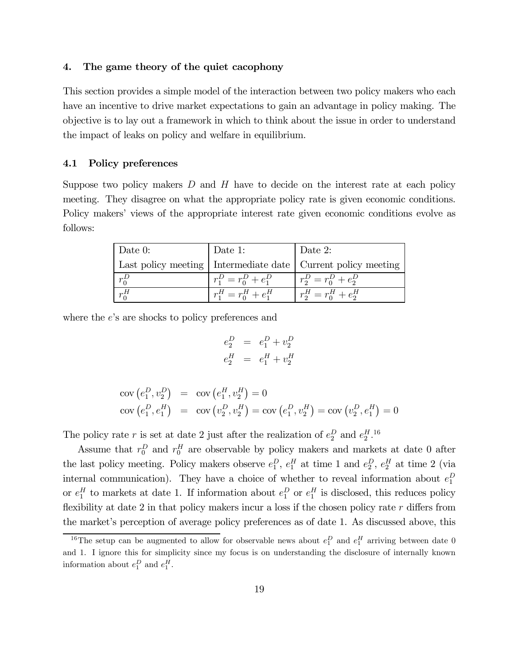#### 4. The game theory of the quiet cacophony

This section provides a simple model of the interaction between two policy makers who each have an incentive to drive market expectations to gain an advantage in policy making. The objective is to lay out a framework in which to think about the issue in order to understand the impact of leaks on policy and welfare in equilibrium.

# 4.1 Policy preferences

Suppose two policy makers  $D$  and  $H$  have to decide on the interest rate at each policy meeting. They disagree on what the appropriate policy rate is given economic conditions. Policy makers' views of the appropriate interest rate given economic conditions evolve as follows:

| $\vert$ Date 0: | Date 1:                 | Date 2:                                                          |
|-----------------|-------------------------|------------------------------------------------------------------|
|                 |                         | Last policy meeting   Intermediate date   Current policy meeting |
| $r_0^D$         | $r_1^D = r_0^D + e_1^D$ | $r_2^D = r_0^D + e_2^D$                                          |
| $r_0^H$         | $r_1^H = r_0^H + e_1^H$ | $r_2^H = r_0^H + e_2^H$                                          |

where the  $e$ 's are shocks to policy preferences and

$$
e_2^D = e_1^D + v_2^D
$$
  

$$
e_2^H = e_1^H + v_2^H
$$

$$
cov(e_1^D, v_2^D) = cov(e_1^H, v_2^H) = 0
$$
  
 
$$
cov(e_1^D, e_1^H) = cov(v_2^D, v_2^H) = cov(e_1^D, v_2^H) = cov(v_2^D, e_1^H) = 0
$$

The policy rate r is set at date 2 just after the realization of  $e_2^D$  and  $e_2^H$ .<sup>16</sup>

Assume that  $r_0^D$  and  $r_0^H$  are observable by policy makers and markets at date 0 after the last policy meeting. Policy makers observe  $e_1^D$ ,  $e_1^H$  at time 1 and  $e_2^D$ ,  $e_2^H$  at time 2 (via internal communication). They have a choice of whether to reveal information about  $e_1^D$ or  $e_1^H$  to markets at date 1. If information about  $e_1^D$  or  $e_1^H$  is disclosed, this reduces policy flexibility at date 2 in that policy makers incur a loss if the chosen policy rate  $r$  differs from the market's perception of average policy preferences as of date 1. As discussed above, this

<sup>&</sup>lt;sup>16</sup>The setup can be augmented to allow for observable news about  $e_1^D$  and  $e_1^H$  arriving between date 0 and 1. I ignore this for simplicity since my focus is on understanding the disclosure of internally known information about  $e_1^D$  and  $e_1^H$ .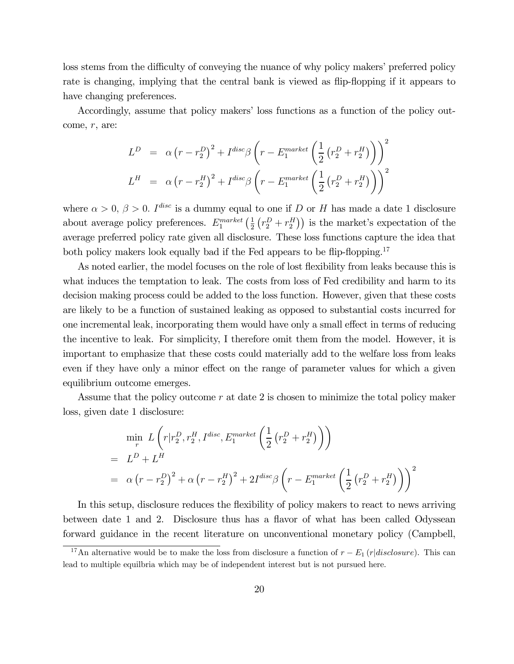loss stems from the difficulty of conveying the nuance of why policy makers' preferred policy rate is changing, implying that the central bank is viewed as flip-flopping if it appears to have changing preferences.

Accordingly, assume that policy makers' loss functions as a function of the policy outcome,  $r$ , are:

$$
L^{D} = \alpha (r - r_2^{D})^2 + I^{disc} \beta \left( r - E_1^{market} \left( \frac{1}{2} (r_2^{D} + r_2^{H}) \right) \right)^2
$$
  

$$
L^{H} = \alpha (r - r_2^{H})^2 + I^{disc} \beta \left( r - E_1^{market} \left( \frac{1}{2} (r_2^{D} + r_2^{H}) \right) \right)^2
$$

where  $\alpha > 0$ ,  $\beta > 0$ . I<sup>disc</sup> is a dummy equal to one if D or H has made a date 1 disclosure about average policy preferences.  $E_1^{market}(\frac{1}{2}(r_2^D + r_2^H))$  is the market's expectation of the average preferred policy rate given all disclosure. These loss functions capture the idea that both policy makers look equally bad if the Fed appears to be flip-flopping.<sup>17</sup>

As noted earlier, the model focuses on the role of lost flexibility from leaks because this is what induces the temptation to leak. The costs from loss of Fed credibility and harm to its decision making process could be added to the loss function. However, given that these costs are likely to be a function of sustained leaking as opposed to substantial costs incurred for one incremental leak, incorporating them would have only a small effect in terms of reducing the incentive to leak. For simplicity, I therefore omit them from the model. However, it is important to emphasize that these costs could materially add to the welfare loss from leaks even if they have only a minor effect on the range of parameter values for which a given equilibrium outcome emerges.

Assume that the policy outcome  $r$  at date 2 is chosen to minimize the total policy maker loss, given date 1 disclosure:

$$
\begin{aligned}\n\min_{r} L\left(r|r_{2}^{D}, r_{2}^{H}, I^{disc}, E_{1}^{market}\left(\frac{1}{2}\left(r_{2}^{D} + r_{2}^{H}\right)\right)\right) \\
= L^{D} + L^{H} \\
= \alpha \left(r - r_{2}^{D}\right)^{2} + \alpha \left(r - r_{2}^{H}\right)^{2} + 2I^{disc}\beta \left(r - E_{1}^{market}\left(\frac{1}{2}\left(r_{2}^{D} + r_{2}^{H}\right)\right)\right)^{2}\n\end{aligned}
$$

In this setup, disclosure reduces the flexibility of policy makers to react to news arriving between date 1 and 2. Disclosure thus has a flavor of what has been called Odyssean forward guidance in the recent literature on unconventional monetary policy (Campbell,

<sup>&</sup>lt;sup>17</sup>An alternative would be to make the loss from disclosure a function of  $r - E_1(r|disclosure)$ . This can lead to multiple equilbria which may be of independent interest but is not pursued here.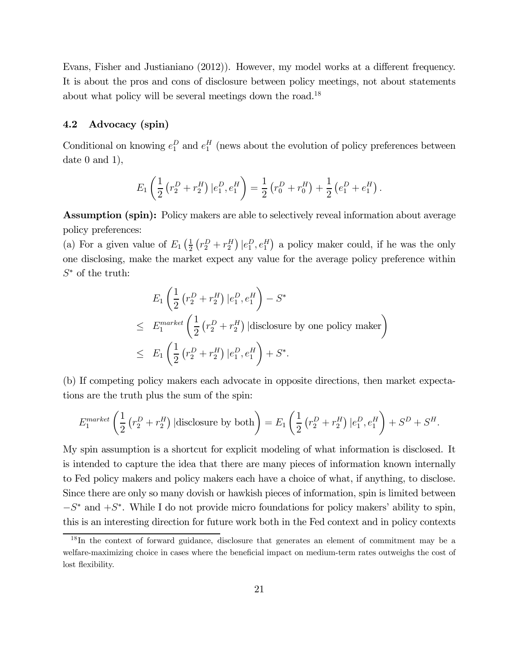Evans, Fisher and Justianiano (2012)). However, my model works at a different frequency. It is about the pros and cons of disclosure between policy meetings, not about statements about what policy will be several meetings down the road.<sup>18</sup>

#### 4.2 Advocacy (spin)

Conditional on knowing  $e_1^D$  and  $e_1^H$  (news about the evolution of policy preferences between date 0 and 1),

$$
E_1\left(\frac{1}{2}\left(r_2^D+r_2^H\right)|e_1^D,e_1^H\right)=\frac{1}{2}\left(r_0^D+r_0^H\right)+\frac{1}{2}\left(e_1^D+e_1^H\right).
$$

Assumption (spin): Policy makers are able to selectively reveal information about average policy preferences:

(a) For a given value of  $E_1(\frac{1}{2}(r_2^D+r_2^H) | e_1^D, e_1^H)$  a policy maker could, if he was the only one disclosing, make the market expect any value for the average policy preference within  $S^*$  of the truth:

$$
E_1\left(\frac{1}{2}\left(r_2^D+r_2^H\right)|e_1^D,e_1^H\right)-S^*
$$
  
\n
$$
\leq E_1^{market}\left(\frac{1}{2}\left(r_2^D+r_2^H\right)|\text{disclosure by one policy maker}\right)
$$
  
\n
$$
\leq E_1\left(\frac{1}{2}\left(r_2^D+r_2^H\right)|e_1^D,e_1^H\right)+S^*.
$$

(b) If competing policy makers each advocate in opposite directions, then market expectations are the truth plus the sum of the spin:

$$
E_1^{market} \left( \frac{1}{2} \left( r_2^D + r_2^H \right) | \text{disclosure by both} \right) = E_1 \left( \frac{1}{2} \left( r_2^D + r_2^H \right) | e_1^D, e_1^H \right) + S^D + S^H.
$$

My spin assumption is a shortcut for explicit modeling of what information is disclosed. It is intended to capture the idea that there are many pieces of information known internally to Fed policy makers and policy makers each have a choice of what, if anything, to disclose. Since there are only so many dovish or hawkish pieces of information, spin is limited between  $-S^*$  and  $+S^*$ . While I do not provide micro foundations for policy makers' ability to spin, this is an interesting direction for future work both in the Fed context and in policy contexts

<sup>&</sup>lt;sup>18</sup>In the context of forward guidance, disclosure that generates an element of commitment may be a welfare-maximizing choice in cases where the beneficial impact on medium-term rates outweighs the cost of lost flexibility.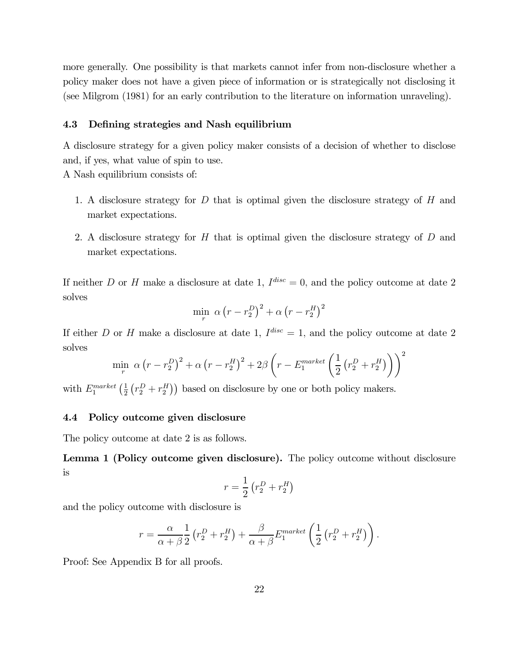more generally. One possibility is that markets cannot infer from non-disclosure whether a policy maker does not have a given piece of information or is strategically not disclosing it (see Milgrom (1981) for an early contribution to the literature on information unraveling).

#### 4.3 Defining strategies and Nash equilibrium

A disclosure strategy for a given policy maker consists of a decision of whether to disclose and, if yes, what value of spin to use.

A Nash equilibrium consists of:

- 1. A disclosure strategy for  $D$  that is optimal given the disclosure strategy of  $H$  and market expectations.
- 2. A disclosure strategy for  $H$  that is optimal given the disclosure strategy of  $D$  and market expectations.

If neither D or H make a disclosure at date 1,  $I^{disc} = 0$ , and the policy outcome at date 2 solves

$$
\min_{r} \ \alpha \left(r - r_2^D\right)^2 + \alpha \left(r - r_2^H\right)^2
$$

If either D or H make a disclosure at date 1,  $I^{disc} = 1$ , and the policy outcome at date 2 solves  $\overline{2}$ 

$$
\min_{r} \alpha (r - r_2^D)^2 + \alpha (r - r_2^H)^2 + 2\beta \left(r - E_1^{market} \left(\frac{1}{2} (r_2^D + r_2^H)\right)\right)^2
$$

with  $E_1^{market}(\frac{1}{2}(r_2^D+r_2^H))$  based on disclosure by one or both policy makers.

#### 4.4 Policy outcome given disclosure

The policy outcome at date 2 is as follows.

Lemma 1 (Policy outcome given disclosure). The policy outcome without disclosure is

$$
r = \frac{1}{2} \left( r_2^D + r_2^H \right)
$$

and the policy outcome with disclosure is

$$
r = \frac{\alpha}{\alpha + \beta} \frac{1}{2} \left( r_2^D + r_2^H \right) + \frac{\beta}{\alpha + \beta} E_1^{market} \left( \frac{1}{2} \left( r_2^D + r_2^H \right) \right).
$$

Proof: See Appendix B for all proofs.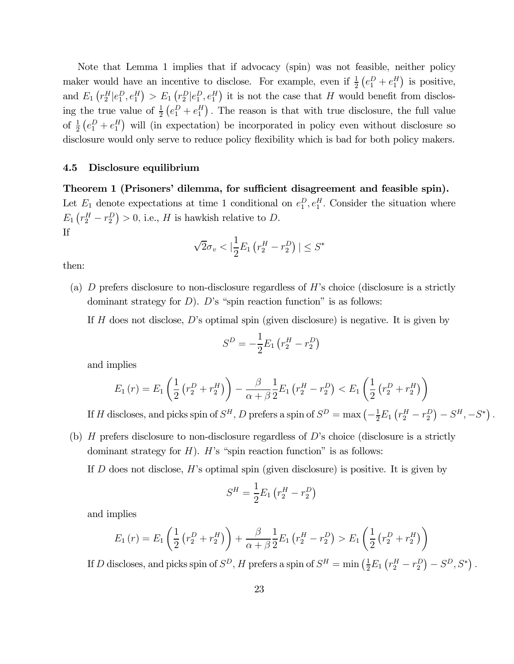Note that Lemma 1 implies that if advocacy (spin) was not feasible, neither policy maker would have an incentive to disclose. For example, even if  $\frac{1}{2} (e_1^D + e_1^H)$  is positive, and  $E_1(r_2^H|e_1^D, e_1^H) > E_1(r_2^D|e_1^D, e_1^H)$  it is not the case that H would benefit from disclosing the true value of  $\frac{1}{2}(e_1^D + e_1^H)$ . The reason is that with true disclosure, the full value of  $\frac{1}{2}$   $(e_1^D + e_1^H)$  will (in expectation) be incorporated in policy even without disclosure so disclosure would only serve to reduce policy flexibility which is bad for both policy makers.

#### 4.5 Disclosure equilibrium

Theorem 1 (Prisoners' dilemma, for sufficient disagreement and feasible spin). Let  $E_1$  denote expectations at time 1 conditional on  $e_1^D, e_1^H$ . Consider the situation where  $E_1\left(r_2^H-r_2^D\right) > 0$ , i.e., H is hawkish relative to D. If

$$
\sqrt{2}\sigma_v < |\frac{1}{2}E_1\left(r_2^H - r_2^D\right)| \leq S^*
$$

then:

(a)  $D$  prefers disclosure to non-disclosure regardless of  $H$ 's choice (disclosure is a strictly dominant strategy for  $D$ ).  $D$ 's "spin reaction function" is as follows:

If  $H$  does not disclose,  $D$ 's optimal spin (given disclosure) is negative. It is given by

$$
S^{D} = -\frac{1}{2}E_1(r_2^H - r_2^D)
$$

and implies

$$
E_1(r) = E_1\left(\frac{1}{2}\left(r_2^D + r_2^H\right)\right) - \frac{\beta}{\alpha + \beta} \frac{1}{2} E_1\left(r_2^H - r_2^D\right) < E_1\left(\frac{1}{2}\left(r_2^D + r_2^H\right)\right)
$$

If H discloses, and picks spin of  $S^H$ , D prefers a spin of  $S^D = \max \left(-\frac{1}{2}E_1(r_2^H - r_2^D) - S^H, -S^*\right)$ .

(b)  $H$  prefers disclosure to non-disclosure regardless of  $D$ 's choice (disclosure is a strictly dominant strategy for  $H$ ).  $H$ 's "spin reaction function" is as follows:

If  $D$  does not disclose,  $H$ 's optimal spin (given disclosure) is positive. It is given by

$$
S^{H} = \frac{1}{2}E_{1} (r_{2}^{H} - r_{2}^{D})
$$

and implies

$$
E_1(r) = E_1\left(\frac{1}{2}\left(r_2^D + r_2^H\right)\right) + \frac{\beta}{\alpha + \beta} \frac{1}{2} E_1\left(r_2^H - r_2^D\right) > E_1\left(\frac{1}{2}\left(r_2^D + r_2^H\right)\right)
$$

If D discloses, and picks spin of  $S^D$ , H prefers a spin of  $S^H = \min\left(\frac{1}{2}E_1(r_2^H - r_2^D) - S^D, S^*\right)$ .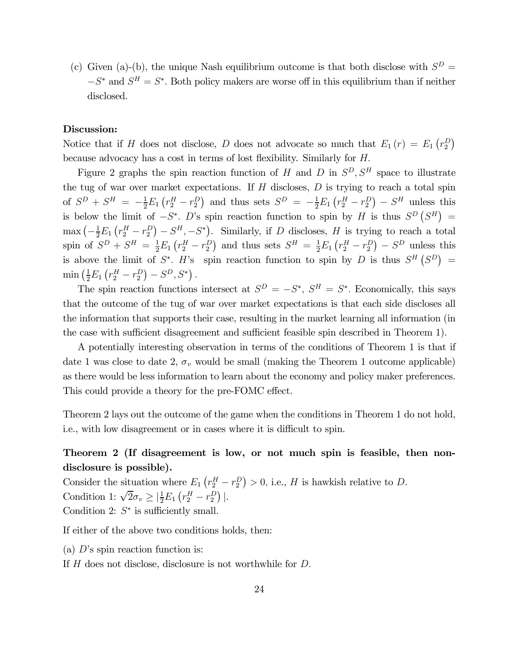(c) Given (a)-(b), the unique Nash equilibrium outcome is that both disclose with  $S^D =$  $-S^*$  and  $S^H = S^*$ . Both policy makers are worse off in this equilibrium than if neither disclosed.

## Discussion:

Notice that if H does not disclose, D does not advocate so much that  $E_1(r) = E_1(r_2^D)$ because advocacy has a cost in terms of lost flexibility. Similarly for  $H$ .

Figure 2 graphs the spin reaction function of  $H$  and  $D$  in  $S^D, S^H$  space to illustrate the tug of war over market expectations. If  $H$  discloses,  $D$  is trying to reach a total spin of  $S^D + S^H = -\frac{1}{2}E_1(r_2^H - r_2^D)$  and thus sets  $S^D = -\frac{1}{2}E_1(r_2^H - r_2^D) - S^H$  unless this is below the limit of  $-S^*$ . D's spin reaction function to spin by H is thus  $S^D(S^H)$  =  $\max \left(-\frac{1}{2}E_1\left(r_2^H-r_2^D\right)-S^H,-S^*\right)$ . Similarly, if D discloses, H is trying to reach a total spin of  $S^D + S^H = \frac{1}{2}E_1(r_2^H - r_2^D)$  and thus sets  $S^H = \frac{1}{2}E_1(r_2^H - r_2^D) - S^D$  unless this is above the limit of  $S^*$ . H's spin reaction function to spin by D is thus  $S^H(S^D)$  =  $\min\left(\frac{1}{2}E_1\left(r_2^H - r_2^D\right) - S^D, S^*\right).$ 

The spin reaction functions intersect at  $S^D = -S^*$ ,  $S^H = S^*$ . Economically, this says that the outcome of the tug of war over market expectations is that each side discloses all the information that supports their case, resulting in the market learning all information (in the case with sufficient disagreement and sufficient feasible spin described in Theorem 1).

A potentially interesting observation in terms of the conditions of Theorem 1 is that if date 1 was close to date 2,  $\sigma_v$  would be small (making the Theorem 1 outcome applicable) as there would be less information to learn about the economy and policy maker preferences. This could provide a theory for the pre-FOMC effect.

Theorem 2 lays out the outcome of the game when the conditions in Theorem 1 do not hold, i.e., with low disagreement or in cases where it is difficult to spin.

# Theorem 2 (If disagreement is low, or not much spin is feasible, then nondisclosure is possible).

Consider the situation where  $E_1(r_2^H - r_2^D) > 0$ , i.e., H is hawkish relative to D. Condition 1:  $\sqrt{2}\sigma_v \geq |\frac{1}{2}E_1(r_2^H - r_2^D)|$ . Condition 2:  $S^*$  is sufficiently small.

If either of the above two conditions holds, then:

(a)  $D$ 's spin reaction function is:

If  $H$  does not disclose, disclosure is not worthwhile for  $D$ .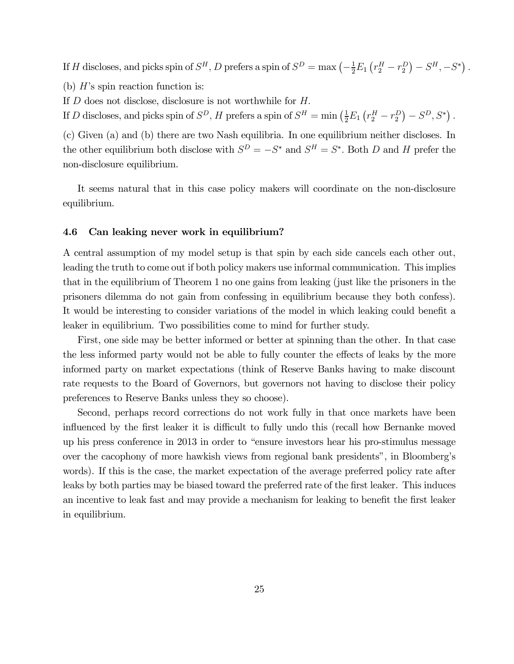If H discloses, and picks spin of  $S^H$ , D prefers a spin of  $S^D = \max \left(-\frac{1}{2}E_1(r_2^H - r_2^D) - S^H, -S^*\right)$ .

(b)  $H$ 's spin reaction function is:

If  $D$  does not disclose, disclosure is not worthwhile for  $H$ .

If D discloses, and picks spin of  $S^D$ , H prefers a spin of  $S^H = \min\left(\frac{1}{2}E_1(r_2^H - r_2^D) - S^D, S^*\right)$ .

(c) Given (a) and (b) there are two Nash equilibria. In one equilibrium neither discloses. In the other equilibrium both disclose with  $S^D = -S^*$  and  $S^H = S^*$ . Both D and H prefer the non-disclosure equilibrium.

It seems natural that in this case policy makers will coordinate on the non-disclosure equilibrium.

#### 4.6 Can leaking never work in equilibrium?

A central assumption of my model setup is that spin by each side cancels each other out, leading the truth to come out if both policy makers use informal communication. This implies that in the equilibrium of Theorem 1 no one gains from leaking (just like the prisoners in the prisoners dilemma do not gain from confessing in equilibrium because they both confess). It would be interesting to consider variations of the model in which leaking could benefit a leaker in equilibrium. Two possibilities come to mind for further study.

First, one side may be better informed or better at spinning than the other. In that case the less informed party would not be able to fully counter the effects of leaks by the more informed party on market expectations (think of Reserve Banks having to make discount rate requests to the Board of Governors, but governors not having to disclose their policy preferences to Reserve Banks unless they so choose).

Second, perhaps record corrections do not work fully in that once markets have been influenced by the first leaker it is difficult to fully undo this (recall how Bernanke moved up his press conference in 2013 in order to "ensure investors hear his pro-stimulus message over the cacophony of more hawkish views from regional bank presidents", in Bloomberg's words). If this is the case, the market expectation of the average preferred policy rate after leaks by both parties may be biased toward the preferred rate of the first leaker. This induces an incentive to leak fast and may provide a mechanism for leaking to benefit the first leaker in equilibrium.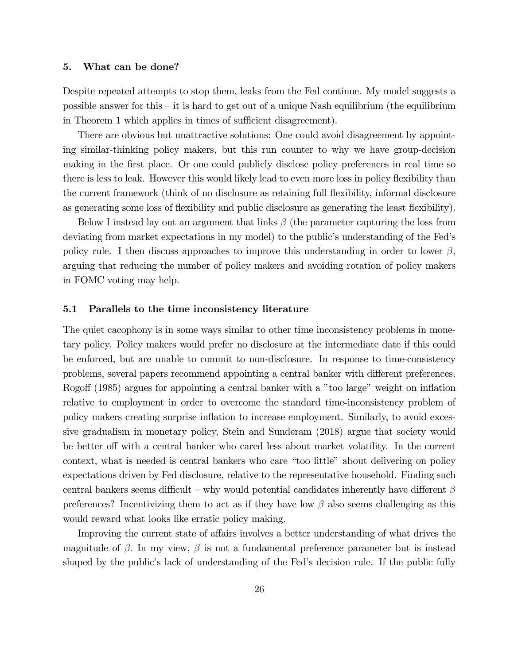#### 5. What can be done?

Despite repeated attempts to stop them, leaks from the Fed continue. My model suggests a possible answer for this  $-$  it is hard to get out of a unique Nash equilibrium (the equilibrium in Theorem 1 which applies in times of sufficient disagreement).

There are obvious but unattractive solutions: One could avoid disagreement by appointing similar-thinking policy makers, but this run counter to why we have group-decision making in the first place. Or one could publicly disclose policy preferences in real time so there is less to leak. However this would likely lead to even more loss in policy flexibility than the current framework (think of no disclosure as retaining full flexibility, informal disclosure as generating some loss of flexibility and public disclosure as generating the least flexibility).

Below I instead lay out an argument that links  $\beta$  (the parameter capturing the loss from deviating from market expectations in my model) to the public's understanding of the Fed's policy rule. I then discuss approaches to improve this understanding in order to lower  $\beta$ , arguing that reducing the number of policy makers and avoiding rotation of policy makers in FOMC voting may help.

#### 5.1 Parallels to the time inconsistency literature

The quiet cacophony is in some ways similar to other time inconsistency problems in monetary policy. Policy makers would prefer no disclosure at the intermediate date if this could be enforced, but are unable to commit to non-disclosure. In response to time-consistency problems, several papers recommend appointing a central banker with different preferences. Rogoff (1985) argues for appointing a central banker with a "too large" weight on inflation relative to employment in order to overcome the standard time-inconsistency problem of policy makers creating surprise inflation to increase employment. Similarly, to avoid excessive gradualism in monetary policy, Stein and Sunderam (2018) argue that society would be better off with a central banker who cared less about market volatility. In the current context, what is needed is central bankers who care "too little" about delivering on policy expectations driven by Fed disclosure, relative to the representative household. Finding such central bankers seems difficult – why would potential candidates inherently have different  $\beta$ preferences? Incentivizing them to act as if they have low  $\beta$  also seems challenging as this would reward what looks like erratic policy making.

Improving the current state of affairs involves a better understanding of what drives the magnitude of  $\beta$ . In my view,  $\beta$  is not a fundamental preference parameter but is instead shaped by the public's lack of understanding of the Fed's decision rule. If the public fully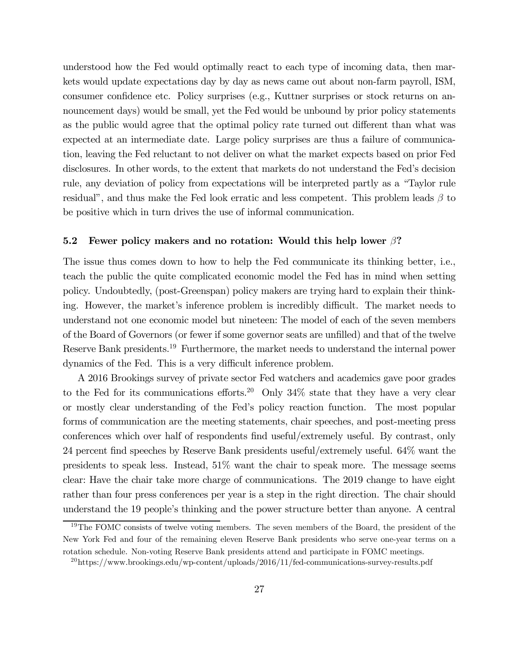understood how the Fed would optimally react to each type of incoming data, then markets would update expectations day by day as news came out about non-farm payroll, ISM, consumer confidence etc. Policy surprises (e.g., Kuttner surprises or stock returns on announcement days) would be small, yet the Fed would be unbound by prior policy statements as the public would agree that the optimal policy rate turned out different than what was expected at an intermediate date. Large policy surprises are thus a failure of communication, leaving the Fed reluctant to not deliver on what the market expects based on prior Fed disclosures. In other words, to the extent that markets do not understand the Fed's decision rule, any deviation of policy from expectations will be interpreted partly as a "Taylor rule residual", and thus make the Fed look erratic and less competent. This problem leads  $\beta$  to be positive which in turn drives the use of informal communication.

#### 5.2 Fewer policy makers and no rotation: Would this help lower  $\beta$ ?

The issue thus comes down to how to help the Fed communicate its thinking better, i.e., teach the public the quite complicated economic model the Fed has in mind when setting policy. Undoubtedly, (post-Greenspan) policy makers are trying hard to explain their thinking. However, the market's inference problem is incredibly difficult. The market needs to understand not one economic model but nineteen: The model of each of the seven members of the Board of Governors (or fewer if some governor seats are unfilled) and that of the twelve Reserve Bank presidents.<sup>19</sup> Furthermore, the market needs to understand the internal power dynamics of the Fed. This is a very difficult inference problem.

A 2016 Brookings survey of private sector Fed watchers and academics gave poor grades to the Fed for its communications efforts.<sup>20</sup> Only  $34\%$  state that they have a very clear or mostly clear understanding of the Fed's policy reaction function. The most popular forms of communication are the meeting statements, chair speeches, and post-meeting press conferences which over half of respondents find useful/extremely useful. By contrast, only 24 percent find speeches by Reserve Bank presidents useful/extremely useful. 64% want the presidents to speak less. Instead, 51% want the chair to speak more. The message seems clear: Have the chair take more charge of communications. The 2019 change to have eight rather than four press conferences per year is a step in the right direction. The chair should understand the 19 people's thinking and the power structure better than anyone. A central

<sup>&</sup>lt;sup>19</sup>The FOMC consists of twelve voting members. The seven members of the Board, the president of the New York Fed and four of the remaining eleven Reserve Bank presidents who serve one-year terms on a rotation schedule. Non-voting Reserve Bank presidents attend and participate in FOMC meetings.

<sup>&</sup>lt;sup>20</sup>https://www.brookings.edu/wp-content/uploads/2016/11/fed-communications-survey-results.pdf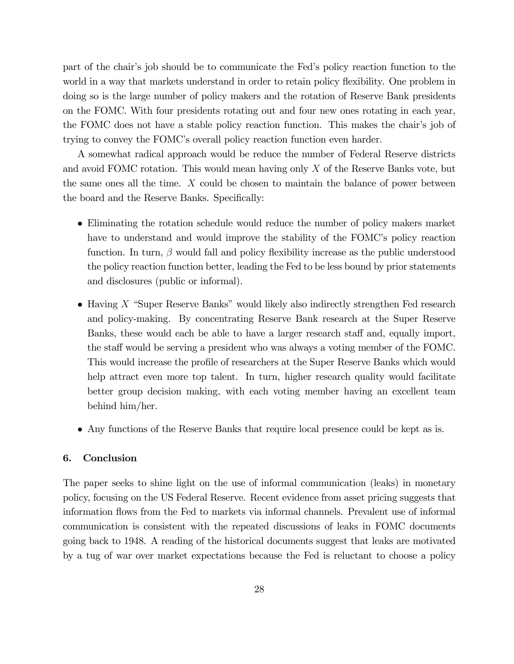part of the chair's job should be to communicate the Fed's policy reaction function to the world in a way that markets understand in order to retain policy flexibility. One problem in doing so is the large number of policy makers and the rotation of Reserve Bank presidents on the FOMC. With four presidents rotating out and four new ones rotating in each year, the FOMC does not have a stable policy reaction function. This makes the chair's job of trying to convey the FOMC's overall policy reaction function even harder.

A somewhat radical approach would be reduce the number of Federal Reserve districts and avoid FOMC rotation. This would mean having only  $X$  of the Reserve Banks vote, but the same ones all the time.  $X$  could be chosen to maintain the balance of power between the board and the Reserve Banks. Specifically:

- Eliminating the rotation schedule would reduce the number of policy makers market have to understand and would improve the stability of the FOMC's policy reaction function. In turn,  $\beta$  would fall and policy flexibility increase as the public understood the policy reaction function better, leading the Fed to be less bound by prior statements and disclosures (public or informal).
- Having  $X$  "Super Reserve Banks" would likely also indirectly strengthen Fed research and policy-making. By concentrating Reserve Bank research at the Super Reserve Banks, these would each be able to have a larger research staff and, equally import, the staff would be serving a president who was always a voting member of the FOMC. This would increase the profile of researchers at the Super Reserve Banks which would help attract even more top talent. In turn, higher research quality would facilitate better group decision making, with each voting member having an excellent team behind him/her.
- Any functions of the Reserve Banks that require local presence could be kept as is.

### 6. Conclusion

The paper seeks to shine light on the use of informal communication (leaks) in monetary policy, focusing on the US Federal Reserve. Recent evidence from asset pricing suggests that information flows from the Fed to markets via informal channels. Prevalent use of informal communication is consistent with the repeated discussions of leaks in FOMC documents going back to 1948. A reading of the historical documents suggest that leaks are motivated by a tug of war over market expectations because the Fed is reluctant to choose a policy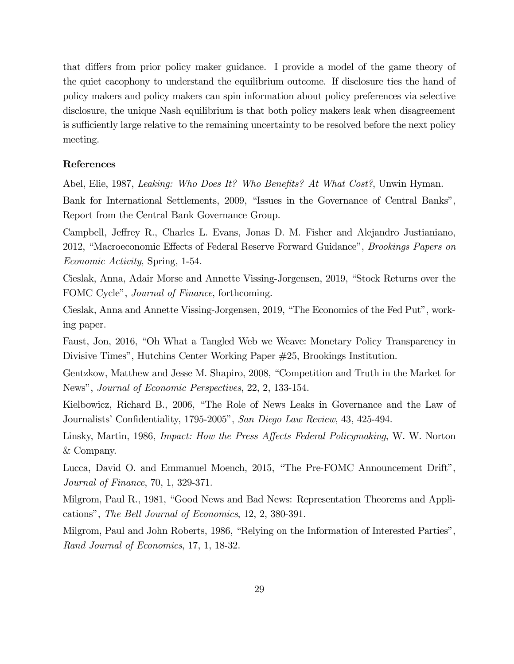that differs from prior policy maker guidance. I provide a model of the game theory of the quiet cacophony to understand the equilibrium outcome. If disclosure ties the hand of policy makers and policy makers can spin information about policy preferences via selective disclosure, the unique Nash equilibrium is that both policy makers leak when disagreement is sufficiently large relative to the remaining uncertainty to be resolved before the next policy meeting.

#### References

Abel, Elie, 1987, Leaking: Who Does It? Who Benefits? At What Cost?, Unwin Hyman.

Bank for International Settlements, 2009, "Issues in the Governance of Central Banks", Report from the Central Bank Governance Group.

Campbell, Jeffrey R., Charles L. Evans, Jonas D. M. Fisher and Alejandro Justianiano, 2012, "Macroeconomic Effects of Federal Reserve Forward Guidance", Brookings Papers on Economic Activity, Spring, 1-54.

Cieslak, Anna, Adair Morse and Annette Vissing-Jorgensen, 2019, "Stock Returns over the FOMC Cycle", Journal of Finance, forthcoming.

Cieslak, Anna and Annette Vissing-Jorgensen, 2019, "The Economics of the Fed Put", working paper.

Faust, Jon, 2016, "Oh What a Tangled Web we Weave: Monetary Policy Transparency in Divisive Times", Hutchins Center Working Paper #25, Brookings Institution.

Gentzkow, Matthew and Jesse M. Shapiro, 2008, "Competition and Truth in the Market for News", Journal of Economic Perspectives, 22, 2, 133-154.

Kielbowicz, Richard B., 2006, "The Role of News Leaks in Governance and the Law of Journalists' Confidentiality, 1795-2005", San Diego Law Review, 43, 425-494.

Linsky, Martin, 1986, Impact: How the Press Affects Federal Policymaking, W. W. Norton & Company.

Lucca, David O. and Emmanuel Moench, 2015, "The Pre-FOMC Announcement Drift", Journal of Finance, 70, 1, 329-371.

Milgrom, Paul R., 1981, "Good News and Bad News: Representation Theorems and Applications", The Bell Journal of Economics, 12, 2, 380-391.

Milgrom, Paul and John Roberts, 1986, "Relying on the Information of Interested Parties", Rand Journal of Economics, 17, 1, 18-32.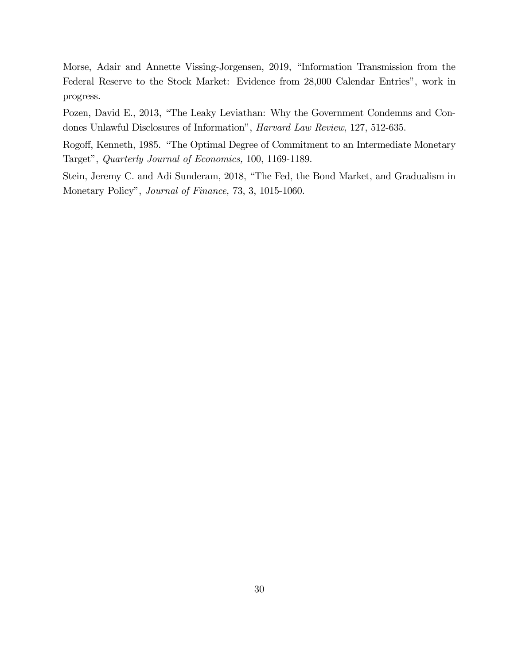Morse, Adair and Annette Vissing-Jorgensen, 2019, "Information Transmission from the Federal Reserve to the Stock Market: Evidence from 28,000 Calendar Entries", work in progress.

Pozen, David E., 2013, "The Leaky Leviathan: Why the Government Condemns and Condones Unlawful Disclosures of Information", Harvard Law Review, 127, 512-635.

Rogoff, Kenneth, 1985. "The Optimal Degree of Commitment to an Intermediate Monetary Target", Quarterly Journal of Economics, 100, 1169-1189.

Stein, Jeremy C. and Adi Sunderam, 2018, "The Fed, the Bond Market, and Gradualism in Monetary Policy", Journal of Finance, 73, 3, 1015-1060.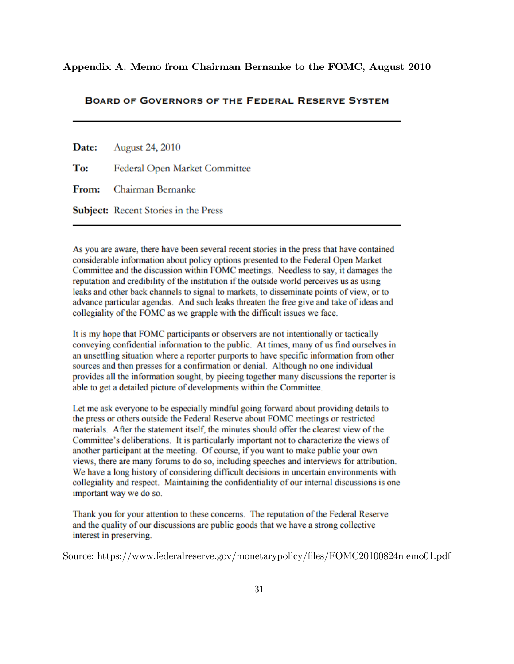Appendix A. Memo from Chairman Bernanke to the FOMC, August 2010

#### **BOARD OF GOVERNORS OF THE FEDERAL RESERVE SYSTEM**

| <b>Date:</b> August 24, 2010                |
|---------------------------------------------|
| To: Federal Open Market Committee           |
| From: Chairman Bernanke                     |
| <b>Subject:</b> Recent Stories in the Press |

As you are aware, there have been several recent stories in the press that have contained considerable information about policy options presented to the Federal Open Market Committee and the discussion within FOMC meetings. Needless to say, it damages the reputation and credibility of the institution if the outside world perceives us as using leaks and other back channels to signal to markets, to disseminate points of view, or to advance particular agendas. And such leaks threaten the free give and take of ideas and collegiality of the FOMC as we grapple with the difficult issues we face.

It is my hope that FOMC participants or observers are not intentionally or tactically conveying confidential information to the public. At times, many of us find ourselves in an unsettling situation where a reporter purports to have specific information from other sources and then presses for a confirmation or denial. Although no one individual provides all the information sought, by piecing together many discussions the reporter is able to get a detailed picture of developments within the Committee.

Let me ask everyone to be especially mindful going forward about providing details to the press or others outside the Federal Reserve about FOMC meetings or restricted materials. After the statement itself, the minutes should offer the clearest view of the Committee's deliberations. It is particularly important not to characterize the views of another participant at the meeting. Of course, if you want to make public your own views, there are many forums to do so, including speeches and interviews for attribution. We have a long history of considering difficult decisions in uncertain environments with collegiality and respect. Maintaining the confidentiality of our internal discussions is one important way we do so.

Thank you for your attention to these concerns. The reputation of the Federal Reserve and the quality of our discussions are public goods that we have a strong collective interest in preserving.

Source: https://www.federalreserve.gov/monetarypolicy/files/FOMC20100824memo01.pdf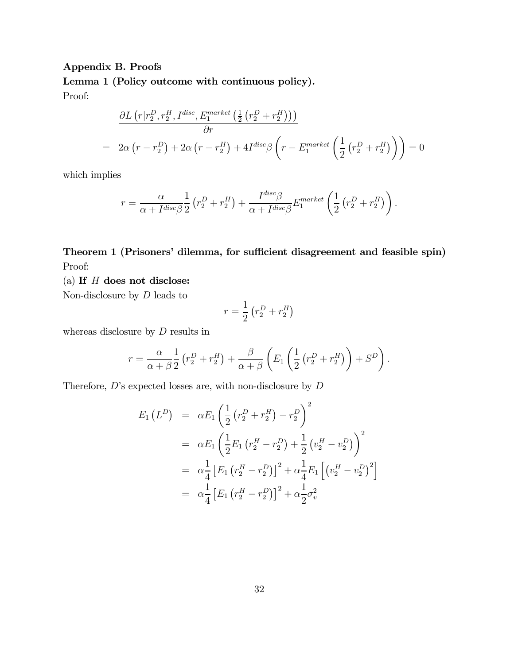# Appendix B. Proofs

Lemma 1 (Policy outcome with continuous policy). Proof:

$$
\frac{\partial L\left(r|r_2^D, r_2^H, I^{disc}, E_1^{market}\left(\frac{1}{2}\left(r_2^D + r_2^H\right)\right)\right)}{\partial r}
$$
\n
$$
= 2\alpha \left(r - r_2^D\right) + 2\alpha \left(r - r_2^H\right) + 4I^{disc}\beta \left(r - E_1^{market}\left(\frac{1}{2}\left(r_2^D + r_2^H\right)\right)\right) = 0
$$

which implies

$$
r = \frac{\alpha}{\alpha + I^{disc}\beta} \frac{1}{2} \left( r_2^D + r_2^H \right) + \frac{I^{disc}\beta}{\alpha + I^{disc}\beta} E_1^{market} \left( \frac{1}{2} \left( r_2^D + r_2^H \right) \right).
$$

Theorem 1 (Prisoners' dilemma, for sufficient disagreement and feasible spin) Proof:

(a) If  $H$  does not disclose:

Non-disclosure by  $D$  leads to

$$
r = \frac{1}{2} \left( r_2^D + r_2^H \right)
$$

whereas disclosure by  $D$  results in

$$
r = \frac{\alpha}{\alpha + \beta} \frac{1}{2} \left( r_2^D + r_2^H \right) + \frac{\beta}{\alpha + \beta} \left( E_1 \left( \frac{1}{2} \left( r_2^D + r_2^H \right) \right) + S^D \right).
$$

Therefore,  $D$ 's expected losses are, with non-disclosure by  $D$ 

$$
E_1(L^D) = \alpha E_1 \left( \frac{1}{2} \left( r_2^D + r_2^H \right) - r_2^D \right)^2
$$
  
\n
$$
= \alpha E_1 \left( \frac{1}{2} E_1 \left( r_2^H - r_2^D \right) + \frac{1}{2} \left( v_2^H - v_2^D \right) \right)^2
$$
  
\n
$$
= \alpha \frac{1}{4} \left[ E_1 \left( r_2^H - r_2^D \right) \right]^2 + \alpha \frac{1}{4} E_1 \left[ \left( v_2^H - v_2^D \right)^2 \right]
$$
  
\n
$$
= \alpha \frac{1}{4} \left[ E_1 \left( r_2^H - r_2^D \right) \right]^2 + \alpha \frac{1}{2} \sigma_v^2
$$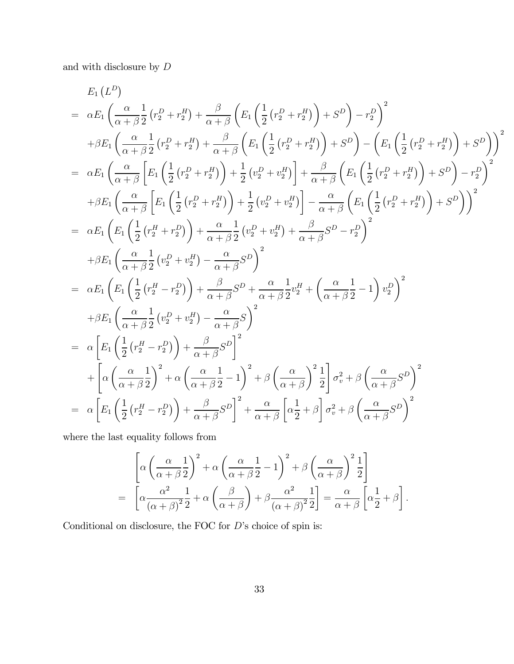and with disclosure by  ${\cal D}$ 

$$
E_1(L^D)
$$
\n
$$
= \alpha E_1 \left( \frac{\alpha}{\alpha + \beta} \frac{1}{2} (r_2^D + r_2^H) + \frac{\beta}{\alpha + \beta} \left( E_1 \left( \frac{1}{2} (r_2^D + r_2^H) \right) + S^D \right) - r_2^D \right)^2
$$
\n
$$
+ \beta E_1 \left( \frac{\alpha}{\alpha + \beta} \frac{1}{2} (r_2^D + r_2^H) + \frac{\beta}{\alpha + \beta} \left( E_1 \left( \frac{1}{2} (r_2^D + r_2^H) \right) + S^D \right) - \left( E_1 \left( \frac{1}{2} (r_2^D + r_2^H) \right) + S^D \right) \right)^2
$$
\n
$$
= \alpha E_1 \left( \frac{\alpha}{\alpha + \beta} \left[ E_1 \left( \frac{1}{2} (r_2^D + r_2^H) \right) + \frac{1}{2} (v_2^D + v_2^H) \right] + \frac{\beta}{\alpha + \beta} \left( E_1 \left( \frac{1}{2} (r_2^D + r_2^H) \right) + S^D \right) - r_2^D \right)^2
$$
\n
$$
+ \beta E_1 \left( \frac{\alpha}{\alpha + \beta} \left[ E_1 \left( \frac{1}{2} (r_2^D + r_2^H) \right) + \frac{1}{2} (v_2^D + v_2^H) \right] - \frac{\alpha}{\alpha + \beta} \left( E_1 \left( \frac{1}{2} (r_2^D + r_2^H) \right) + S^D \right) \right)^2
$$
\n
$$
= \alpha E_1 \left( E_1 \left( \frac{1}{2} (r_2^H + r_2^D) \right) + \frac{\alpha}{\alpha + \beta} \frac{1}{2} (v_2^D + v_2^H) + \frac{\beta}{\alpha + \beta} S^D - r_2^D \right)^2
$$
\n
$$
+ \beta E_1 \left( \frac{\alpha}{\alpha + \beta} \frac{1}{2} (v_2^D + v_2^H) - \frac{\alpha}{\alpha + \beta} S^D \right)^2
$$
\n
$$
= \alpha E_1 \left( E_1 \left( \frac{1}{2} (r_
$$

where the last equality follows from

$$
\left[ \alpha \left( \frac{\alpha}{\alpha + \beta} \frac{1}{2} \right)^2 + \alpha \left( \frac{\alpha}{\alpha + \beta} \frac{1}{2} - 1 \right)^2 + \beta \left( \frac{\alpha}{\alpha + \beta} \right)^2 \frac{1}{2} \right]
$$
  
= 
$$
\left[ \alpha \frac{\alpha^2}{(\alpha + \beta)^2} \frac{1}{2} + \alpha \left( \frac{\beta}{\alpha + \beta} \right) + \beta \frac{\alpha^2}{(\alpha + \beta)^2} \frac{1}{2} \right] = \frac{\alpha}{\alpha + \beta} \left[ \alpha \frac{1}{2} + \beta \right].
$$

Conditional on disclosure, the FOC for  $D$ 's choice of spin is: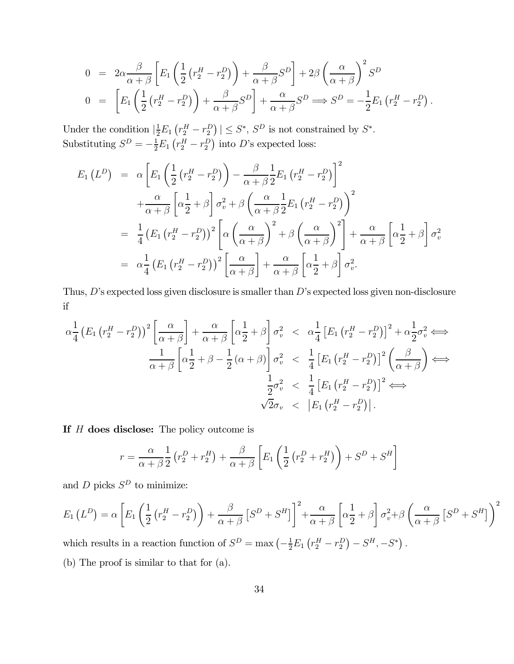$$
0 = 2\alpha \frac{\beta}{\alpha + \beta} \left[ E_1 \left( \frac{1}{2} \left( r_2^H - r_2^D \right) \right) + \frac{\beta}{\alpha + \beta} S^D \right] + 2\beta \left( \frac{\alpha}{\alpha + \beta} \right)^2 S^D
$$
  
\n
$$
0 = \left[ E_1 \left( \frac{1}{2} \left( r_2^H - r_2^D \right) \right) + \frac{\beta}{\alpha + \beta} S^D \right] + \frac{\alpha}{\alpha + \beta} S^D \implies S^D = -\frac{1}{2} E_1 \left( r_2^H - r_2^D \right).
$$

Under the condition  $\left|\frac{1}{2}E_1\left(r_2^H-r_2^D\right)\right|\leq S^*, S^D$  is not constrained by  $S^*$ . Substituting  $S^D = -\frac{1}{2}E_1(r_2^H - r_2^D)$  into D's expected loss:

$$
E_1(L^D) = \alpha \left[ E_1 \left( \frac{1}{2} \left( r_2^H - r_2^D \right) \right) - \frac{\beta}{\alpha + \beta} \frac{1}{2} E_1 \left( r_2^H - r_2^D \right) \right]^2
$$
  
+ 
$$
\frac{\alpha}{\alpha + \beta} \left[ \alpha \frac{1}{2} + \beta \right] \sigma_v^2 + \beta \left( \frac{\alpha}{\alpha + \beta} \frac{1}{2} E_1 \left( r_2^H - r_2^D \right) \right)^2
$$
  
= 
$$
\frac{1}{4} \left( E_1 \left( r_2^H - r_2^D \right) \right)^2 \left[ \alpha \left( \frac{\alpha}{\alpha + \beta} \right)^2 + \beta \left( \frac{\alpha}{\alpha + \beta} \right)^2 \right] + \frac{\alpha}{\alpha + \beta} \left[ \alpha \frac{1}{2} + \beta \right] \sigma_v^2
$$
  
= 
$$
\alpha \frac{1}{4} \left( E_1 \left( r_2^H - r_2^D \right) \right)^2 \left[ \frac{\alpha}{\alpha + \beta} \right] + \frac{\alpha}{\alpha + \beta} \left[ \alpha \frac{1}{2} + \beta \right] \sigma_v^2.
$$

Thus,  $D$ 's expected loss given disclosure is smaller than  $D$ 's expected loss given non-disclosure if

$$
\alpha \frac{1}{4} \left( E_1 \left( r_2^H - r_2^D \right) \right)^2 \left[ \frac{\alpha}{\alpha + \beta} \right] + \frac{\alpha}{\alpha + \beta} \left[ \alpha \frac{1}{2} + \beta \right] \sigma_v^2 < \alpha \frac{1}{4} \left[ E_1 \left( r_2^H - r_2^D \right) \right]^2 + \alpha \frac{1}{2} \sigma_v^2 \iff \frac{1}{\alpha + \beta} \left[ \alpha \frac{1}{2} + \beta - \frac{1}{2} \left( \alpha + \beta \right) \right] \sigma_v^2 < \frac{1}{4} \left[ E_1 \left( r_2^H - r_2^D \right) \right]^2 \left( \frac{\beta}{\alpha + \beta} \right) \iff \frac{1}{2} \sigma_v^2 < \frac{1}{4} \left[ E_1 \left( r_2^H - r_2^D \right) \right]^2 \iff \sqrt{2} \sigma_v < \left| E_1 \left( r_2^H - r_2^D \right) \right|.
$$

If  $H$  does disclose: The policy outcome is

$$
r = \frac{\alpha}{\alpha + \beta} \frac{1}{2} \left( r_2^D + r_2^H \right) + \frac{\beta}{\alpha + \beta} \left[ E_1 \left( \frac{1}{2} \left( r_2^D + r_2^H \right) \right) + S^D + S^H \right]
$$

and  $D$  picks  $S^D$  to minimize:

$$
E_1(L^D) = \alpha \left[ E_1 \left( \frac{1}{2} \left( r_2^H - r_2^D \right) \right) + \frac{\beta}{\alpha + \beta} \left[ S^D + S^H \right] \right]^2 + \frac{\alpha}{\alpha + \beta} \left[ \alpha \frac{1}{2} + \beta \right] \sigma_v^2 + \beta \left( \frac{\alpha}{\alpha + \beta} \left[ S^D + S^H \right] \right)^2
$$

which results in a reaction function of  $S^D = \max \left(-\frac{1}{2}E_1(r_2^H - r_2^D) - S^H, -S^*\right)$ . (b) The proof is similar to that for (a).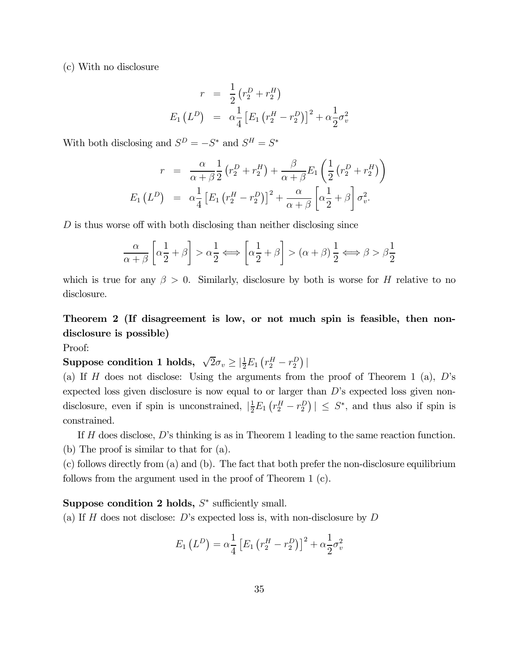(c) With no disclosure

$$
r = \frac{1}{2} (r_2^D + r_2^H)
$$
  
\n
$$
E_1 (L^D) = \alpha \frac{1}{4} [E_1 (r_2^H - r_2^D)]^2 + \alpha \frac{1}{2} \sigma_v^2
$$

With both disclosing and  $S^D = -S^*$  and  $S^H = S^*$ 

$$
r = \frac{\alpha}{\alpha + \beta} \frac{1}{2} \left( r_2^D + r_2^H \right) + \frac{\beta}{\alpha + \beta} E_1 \left( \frac{1}{2} \left( r_2^D + r_2^H \right) \right)
$$

$$
E_1 \left( L^D \right) = \alpha \frac{1}{4} \left[ E_1 \left( r_2^H - r_2^D \right) \right]^2 + \frac{\alpha}{\alpha + \beta} \left[ \alpha \frac{1}{2} + \beta \right] \sigma_v^2.
$$

 $D$  is thus worse off with both disclosing than neither disclosing since

$$
\frac{\alpha}{\alpha+\beta}\left[\alpha\frac{1}{2}+\beta\right] > \alpha\frac{1}{2} \Longleftrightarrow \left[\alpha\frac{1}{2}+\beta\right] > (\alpha+\beta)\frac{1}{2} \Longleftrightarrow \beta > \beta\frac{1}{2}
$$

which is true for any  $\beta > 0$ . Similarly, disclosure by both is worse for H relative to no disclosure.

# Theorem 2 (If disagreement is low, or not much spin is feasible, then nondisclosure is possible)

Proof:

Suppose condition 1 holds,  $\sqrt{2}\sigma_v \geq |\frac{1}{2}E_1(r_2^H - r_2^D)|$ 

(a) If  $H$  does not disclose: Using the arguments from the proof of Theorem 1 (a),  $D$ 's expected loss given disclosure is now equal to or larger than  $D$ 's expected loss given nondisclosure, even if spin is unconstrained,  $|\frac{1}{2}E_1(r_2^H-r_2^D)| \leq S^*$ , and thus also if spin is constrained.

If  $H$  does disclose,  $D$ 's thinking is as in Theorem 1 leading to the same reaction function. (b) The proof is similar to that for (a).

(c) follows directly from (a) and (b). The fact that both prefer the non-disclosure equilibrium follows from the argument used in the proof of Theorem 1 (c).

# Suppose condition 2 holds,  $S^*$  sufficiently small.

(a) If  $H$  does not disclose: D's expected loss is, with non-disclosure by  $D$ 

$$
E_1(L^D) = \alpha \frac{1}{4} \left[ E_1 (r_2^H - r_2^D) \right]^2 + \alpha \frac{1}{2} \sigma_v^2
$$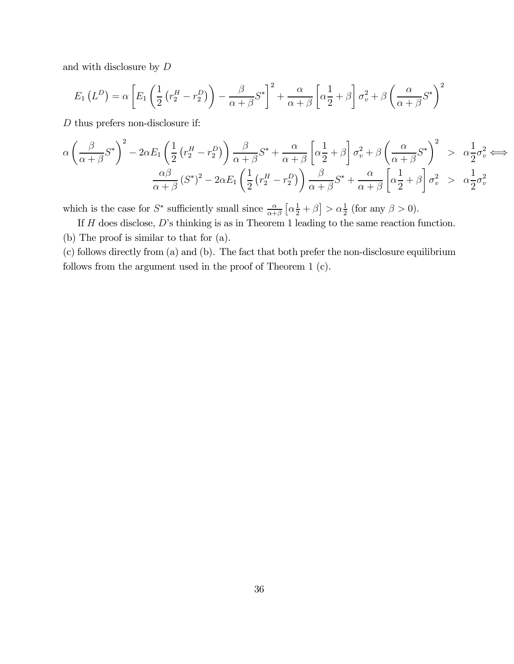and with disclosure by  $D$ 

$$
E_1(L^D) = \alpha \left[ E_1 \left( \frac{1}{2} \left( r_2^H - r_2^D \right) \right) - \frac{\beta}{\alpha + \beta} S^* \right]^2 + \frac{\alpha}{\alpha + \beta} \left[ \alpha \frac{1}{2} + \beta \right] \sigma_v^2 + \beta \left( \frac{\alpha}{\alpha + \beta} S^* \right)^2
$$

 $D$  thus prefers non-disclosure if:

$$
\alpha \left(\frac{\beta}{\alpha+\beta}S^*\right)^2 - 2\alpha E_1 \left(\frac{1}{2}\left(r_2^H - r_2^D\right)\right) \frac{\beta}{\alpha+\beta}S^* + \frac{\alpha}{\alpha+\beta} \left[\alpha\frac{1}{2} + \beta\right]\sigma_v^2 + \beta \left(\frac{\alpha}{\alpha+\beta}S^*\right)^2 > \alpha\frac{1}{2}\sigma_v^2 \Longleftrightarrow
$$

$$
\frac{\alpha\beta}{\alpha+\beta}\left(S^*\right)^2 - 2\alpha E_1 \left(\frac{1}{2}\left(r_2^H - r_2^D\right)\right) \frac{\beta}{\alpha+\beta}S^* + \frac{\alpha}{\alpha+\beta} \left[\alpha\frac{1}{2} + \beta\right]\sigma_v^2 > \alpha\frac{1}{2}\sigma_v^2
$$

which is the case for  $S^*$  sufficiently small since  $\frac{\alpha}{\alpha+\beta}$   $\left[\alpha\frac{1}{2}+\beta\right] > \alpha\frac{1}{2}$  (for any  $\beta > 0$ ).

If  $H$  does disclose,  $D$ 's thinking is as in Theorem 1 leading to the same reaction function. (b) The proof is similar to that for (a).

(c) follows directly from (a) and (b). The fact that both prefer the non-disclosure equilibrium follows from the argument used in the proof of Theorem 1 (c).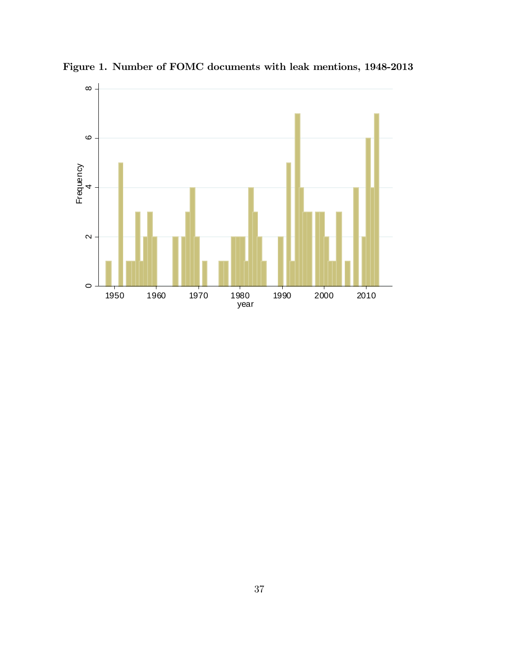

Figure 1. Number of FOMC documents with leak mentions, 1948-2013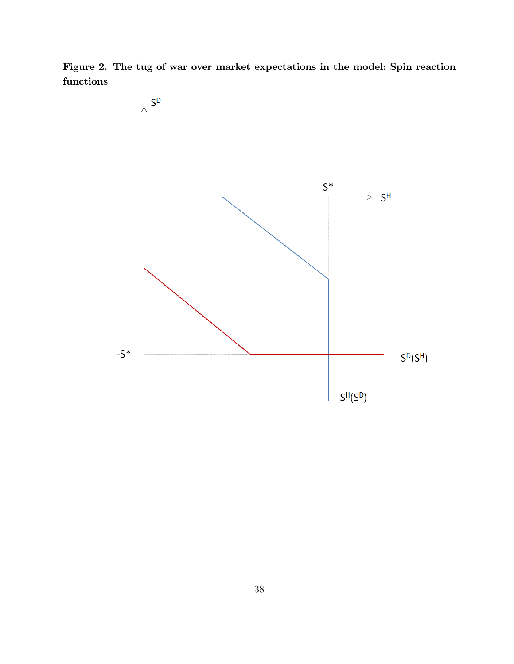Figure 2. The tug of war over market expectations in the model: Spin reaction functions

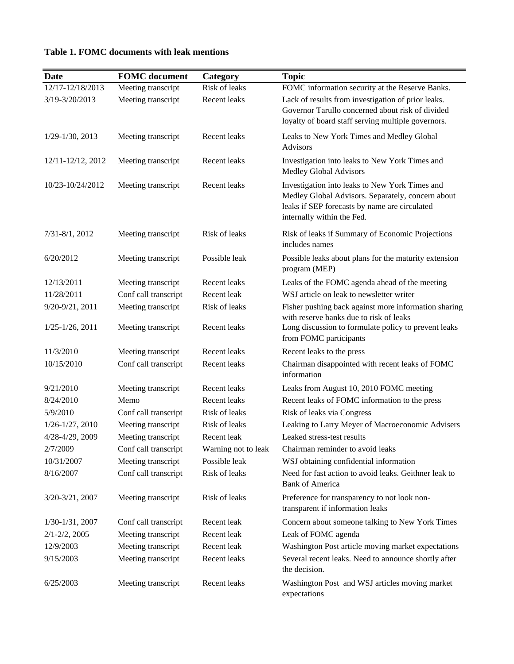| <b>Date</b>          | <b>FOMC</b> document | Category            | <b>Topic</b>                                                                                                                                                                       |
|----------------------|----------------------|---------------------|------------------------------------------------------------------------------------------------------------------------------------------------------------------------------------|
| 12/17-12/18/2013     | Meeting transcript   | Risk of leaks       | FOMC information security at the Reserve Banks.                                                                                                                                    |
| 3/19-3/20/2013       | Meeting transcript   | Recent leaks        | Lack of results from investigation of prior leaks.<br>Governor Tarullo concerned about risk of divided<br>loyalty of board staff serving multiple governors.                       |
| $1/29 - 1/30$ , 2013 | Meeting transcript   | Recent leaks        | Leaks to New York Times and Medley Global<br><b>Advisors</b>                                                                                                                       |
| 12/11-12/12, 2012    | Meeting transcript   | Recent leaks        | Investigation into leaks to New York Times and<br>Medley Global Advisors                                                                                                           |
| 10/23-10/24/2012     | Meeting transcript   | Recent leaks        | Investigation into leaks to New York Times and<br>Medley Global Advisors. Separately, concern about<br>leaks if SEP forecasts by name are circulated<br>internally within the Fed. |
| $7/31 - 8/1, 2012$   | Meeting transcript   | Risk of leaks       | Risk of leaks if Summary of Economic Projections<br>includes names                                                                                                                 |
| 6/20/2012            | Meeting transcript   | Possible leak       | Possible leaks about plans for the maturity extension<br>program (MEP)                                                                                                             |
| 12/13/2011           | Meeting transcript   | Recent leaks        | Leaks of the FOMC agenda ahead of the meeting                                                                                                                                      |
| 11/28/2011           | Conf call transcript | Recent leak         | WSJ article on leak to newsletter writer                                                                                                                                           |
| 9/20-9/21, 2011      | Meeting transcript   | Risk of leaks       | Fisher pushing back against more information sharing<br>with reserve banks due to risk of leaks                                                                                    |
| $1/25 - 1/26$ , 2011 | Meeting transcript   | Recent leaks        | Long discussion to formulate policy to prevent leaks<br>from FOMC participants                                                                                                     |
| 11/3/2010            | Meeting transcript   | Recent leaks        | Recent leaks to the press                                                                                                                                                          |
| 10/15/2010           | Conf call transcript | Recent leaks        | Chairman disappointed with recent leaks of FOMC<br>information                                                                                                                     |
| 9/21/2010            | Meeting transcript   | Recent leaks        | Leaks from August 10, 2010 FOMC meeting                                                                                                                                            |
| 8/24/2010            | Memo                 | Recent leaks        | Recent leaks of FOMC information to the press                                                                                                                                      |
| 5/9/2010             | Conf call transcript | Risk of leaks       | Risk of leaks via Congress                                                                                                                                                         |
| $1/26 - 1/27$ , 2010 | Meeting transcript   | Risk of leaks       | Leaking to Larry Meyer of Macroeconomic Advisers                                                                                                                                   |
| 4/28-4/29, 2009      | Meeting transcript   | Recent leak         | Leaked stress-test results                                                                                                                                                         |
| 2/7/2009             | Conf call transcript | Warning not to leak | Chairman reminder to avoid leaks                                                                                                                                                   |
| 10/31/2007           | Meeting transcript   | Possible leak       | WSJ obtaining confidential information                                                                                                                                             |
| 8/16/2007            | Conf call transcript | Risk of leaks       | Need for fast action to avoid leaks. Geithner leak to<br><b>Bank of America</b>                                                                                                    |
| 3/20-3/21, 2007      | Meeting transcript   | Risk of leaks       | Preference for transparency to not look non-<br>transparent if information leaks                                                                                                   |
| $1/30-1/31$ , 2007   | Conf call transcript | Recent leak         | Concern about someone talking to New York Times                                                                                                                                    |
| $2/1 - 2/2$ , 2005   | Meeting transcript   | Recent leak         | Leak of FOMC agenda                                                                                                                                                                |
| 12/9/2003            | Meeting transcript   | Recent leak         | Washington Post article moving market expectations                                                                                                                                 |
| 9/15/2003            | Meeting transcript   | Recent leaks        | Several recent leaks. Need to announce shortly after<br>the decision.                                                                                                              |
| 6/25/2003            | Meeting transcript   | Recent leaks        | Washington Post and WSJ articles moving market<br>expectations                                                                                                                     |

# **Table 1. FOMC documents with leak mentions**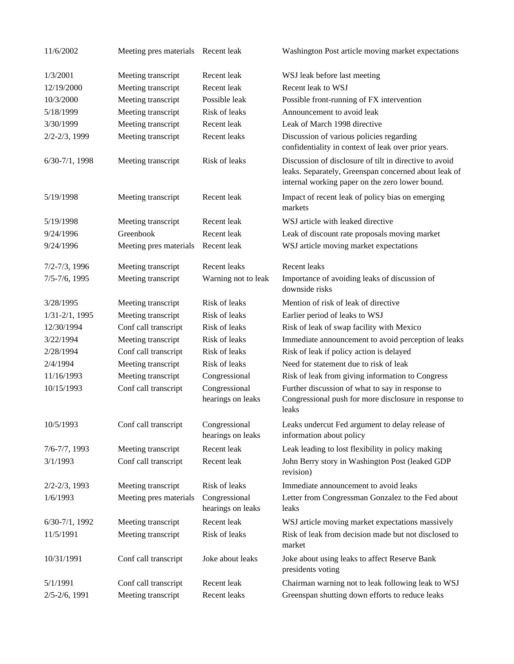| 11/6/2002           | Meeting pres materials Recent leak |                                    | Washington Post article moving market expectations                                                                                                                |
|---------------------|------------------------------------|------------------------------------|-------------------------------------------------------------------------------------------------------------------------------------------------------------------|
| 1/3/2001            | Meeting transcript                 | Recent leak                        | WSJ leak before last meeting                                                                                                                                      |
| 12/19/2000          | Meeting transcript                 | Recent leak                        | Recent leak to WSJ                                                                                                                                                |
| 10/3/2000           | Meeting transcript                 | Possible leak                      | Possible front-running of FX intervention                                                                                                                         |
| 5/18/1999           | Meeting transcript                 | Risk of leaks                      | Announcement to avoid leak                                                                                                                                        |
| 3/30/1999           | Meeting transcript                 | Recent leak                        | Leak of March 1998 directive                                                                                                                                      |
| $2/2 - 2/3$ , 1999  | Meeting transcript                 | Recent leaks                       | Discussion of various policies regarding<br>confidentiality in context of leak over prior years.                                                                  |
| $6/30-7/1$ , 1998   | Meeting transcript                 | Risk of leaks                      | Discussion of disclosure of tilt in directive to avoid<br>leaks. Separately, Greenspan concerned about leak of<br>internal working paper on the zero lower bound. |
| 5/19/1998           | Meeting transcript                 | Recent leak                        | Impact of recent leak of policy bias on emerging<br>markets                                                                                                       |
| 5/19/1998           | Meeting transcript                 | Recent leak                        | WSJ article with leaked directive                                                                                                                                 |
| 9/24/1996           | Greenbook                          | Recent leak                        | Leak of discount rate proposals moving market                                                                                                                     |
| 9/24/1996           | Meeting pres materials             | Recent leak                        | WSJ article moving market expectations                                                                                                                            |
| $7/2 - 7/3$ , 1996  | Meeting transcript                 | Recent leaks                       | Recent leaks                                                                                                                                                      |
| $7/5 - 7/6$ , 1995  | Meeting transcript                 | Warning not to leak                | Importance of avoiding leaks of discussion of<br>downside risks                                                                                                   |
| 3/28/1995           | Meeting transcript                 | Risk of leaks                      | Mention of risk of leak of directive                                                                                                                              |
| $1/31 - 2/1$ , 1995 | Meeting transcript                 | Risk of leaks                      | Earlier period of leaks to WSJ                                                                                                                                    |
| 12/30/1994          | Conf call transcript               | Risk of leaks                      | Risk of leak of swap facility with Mexico                                                                                                                         |
| 3/22/1994           | Meeting transcript                 | Risk of leaks                      | Immediate announcement to avoid perception of leaks                                                                                                               |
| 2/28/1994           | Conf call transcript               | Risk of leaks                      | Risk of leak if policy action is delayed                                                                                                                          |
| 2/4/1994            | Meeting transcript                 | Risk of leaks                      | Need for statement due to risk of leak                                                                                                                            |
| 11/16/1993          | Meeting transcript                 | Congressional                      | Risk of leak from giving information to Congress                                                                                                                  |
| 10/15/1993          | Conf call transcript               | Congressional<br>hearings on leaks | Further discussion of what to say in response to<br>Congressional push for more disclosure in response to<br>leaks                                                |
| 10/5/1993           | Conf call transcript               | Congressional<br>hearings on leaks | Leaks undercut Fed argument to delay release of<br>information about policy                                                                                       |
| $7/6 - 7/7$ , 1993  | Meeting transcript                 | Recent leak                        | Leak leading to lost flexibility in policy making                                                                                                                 |
| 3/1/1993            | Conf call transcript               | Recent leak                        | John Berry story in Washington Post (leaked GDP<br>revision)                                                                                                      |
| $2/2 - 2/3$ , 1993  | Meeting transcript                 | Risk of leaks                      | Immediate announcement to avoid leaks                                                                                                                             |
| 1/6/1993            | Meeting pres materials             | Congressional<br>hearings on leaks | Letter from Congressman Gonzalez to the Fed about<br>leaks                                                                                                        |
| $6/30-7/1$ , 1992   | Meeting transcript                 | Recent leak                        | WSJ article moving market expectations massively                                                                                                                  |
| 11/5/1991           | Meeting transcript                 | Risk of leaks                      | Risk of leak from decision made but not disclosed to<br>market                                                                                                    |
| 10/31/1991          | Conf call transcript               | Joke about leaks                   | Joke about using leaks to affect Reserve Bank<br>presidents voting                                                                                                |
| 5/1/1991            | Conf call transcript               | Recent leak                        | Chairman warning not to leak following leak to WSJ                                                                                                                |
| $2/5 - 2/6$ , 1991  | Meeting transcript                 | Recent leaks                       | Greenspan shutting down efforts to reduce leaks                                                                                                                   |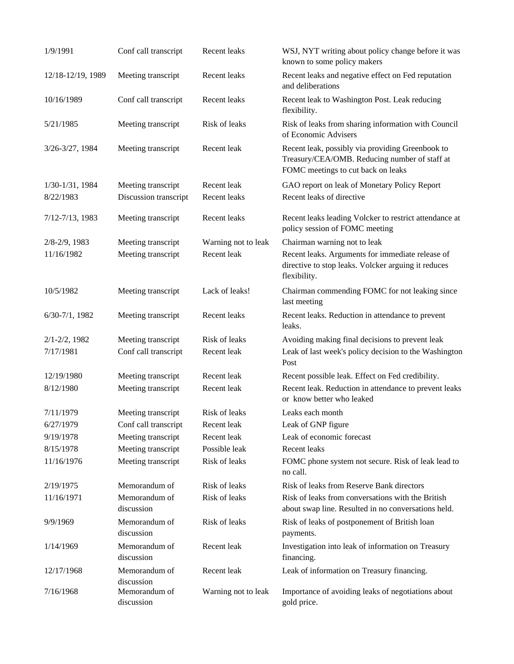| 1/9/1991           | Conf call transcript                      | Recent leaks        | WSJ, NYT writing about policy change before it was<br>known to some policy makers                                                       |
|--------------------|-------------------------------------------|---------------------|-----------------------------------------------------------------------------------------------------------------------------------------|
| 12/18-12/19, 1989  | Meeting transcript                        | Recent leaks        | Recent leaks and negative effect on Fed reputation<br>and deliberations                                                                 |
| 10/16/1989         | Conf call transcript                      | Recent leaks        | Recent leak to Washington Post. Leak reducing<br>flexibility.                                                                           |
| 5/21/1985          | Meeting transcript                        | Risk of leaks       | Risk of leaks from sharing information with Council<br>of Economic Advisers                                                             |
| 3/26-3/27, 1984    | Meeting transcript                        | Recent leak         | Recent leak, possibly via providing Greenbook to<br>Treasury/CEA/OMB. Reducing number of staff at<br>FOMC meetings to cut back on leaks |
| 1/30-1/31, 1984    | Meeting transcript                        | Recent leak         | GAO report on leak of Monetary Policy Report                                                                                            |
| 8/22/1983          | Discussion transcript                     | Recent leaks        | Recent leaks of directive                                                                                                               |
| 7/12-7/13, 1983    | Meeting transcript                        | Recent leaks        | Recent leaks leading Volcker to restrict attendance at<br>policy session of FOMC meeting                                                |
| 2/8-2/9, 1983      | Meeting transcript                        | Warning not to leak | Chairman warning not to leak                                                                                                            |
| 11/16/1982         | Meeting transcript                        | Recent leak         | Recent leaks. Arguments for immediate release of<br>directive to stop leaks. Volcker arguing it reduces<br>flexibility.                 |
| 10/5/1982          | Meeting transcript                        | Lack of leaks!      | Chairman commending FOMC for not leaking since<br>last meeting                                                                          |
| $6/30-7/1$ , 1982  | Meeting transcript                        | Recent leaks        | Recent leaks. Reduction in attendance to prevent<br>leaks.                                                                              |
| $2/1 - 2/2$ , 1982 | Meeting transcript                        | Risk of leaks       | Avoiding making final decisions to prevent leak                                                                                         |
| 7/17/1981          | Conf call transcript                      | Recent leak         | Leak of last week's policy decision to the Washington<br>Post                                                                           |
| 12/19/1980         | Meeting transcript                        | Recent leak         | Recent possible leak. Effect on Fed credibility.                                                                                        |
| 8/12/1980          | Meeting transcript                        | Recent leak         | Recent leak. Reduction in attendance to prevent leaks<br>or know better who leaked                                                      |
| 7/11/1979          | Meeting transcript                        | Risk of leaks       | Leaks each month                                                                                                                        |
| 6/27/1979          | Conf call transcript                      | Recent leak         | Leak of GNP figure                                                                                                                      |
| 9/19/1978          | Meeting transcript                        | Recent leak         | Leak of economic forecast                                                                                                               |
| 8/15/1978          | Meeting transcript                        | Possible leak       | Recent leaks                                                                                                                            |
| 11/16/1976         | Meeting transcript                        | Risk of leaks       | FOMC phone system not secure. Risk of leak lead to<br>no call.                                                                          |
| 2/19/1975          | Memorandum of                             | Risk of leaks       | Risk of leaks from Reserve Bank directors                                                                                               |
| 11/16/1971         | Memorandum of<br>discussion               | Risk of leaks       | Risk of leaks from conversations with the British<br>about swap line. Resulted in no conversations held.                                |
| 9/9/1969           | Memorandum of<br>discussion               | Risk of leaks       | Risk of leaks of postponement of British loan<br>payments.                                                                              |
| 1/14/1969          | Memorandum of<br>discussion               | Recent leak         | Investigation into leak of information on Treasury<br>financing.                                                                        |
| 12/17/1968         | Memorandum of                             | Recent leak         | Leak of information on Treasury financing.                                                                                              |
| 7/16/1968          | discussion<br>Memorandum of<br>discussion | Warning not to leak | Importance of avoiding leaks of negotiations about<br>gold price.                                                                       |